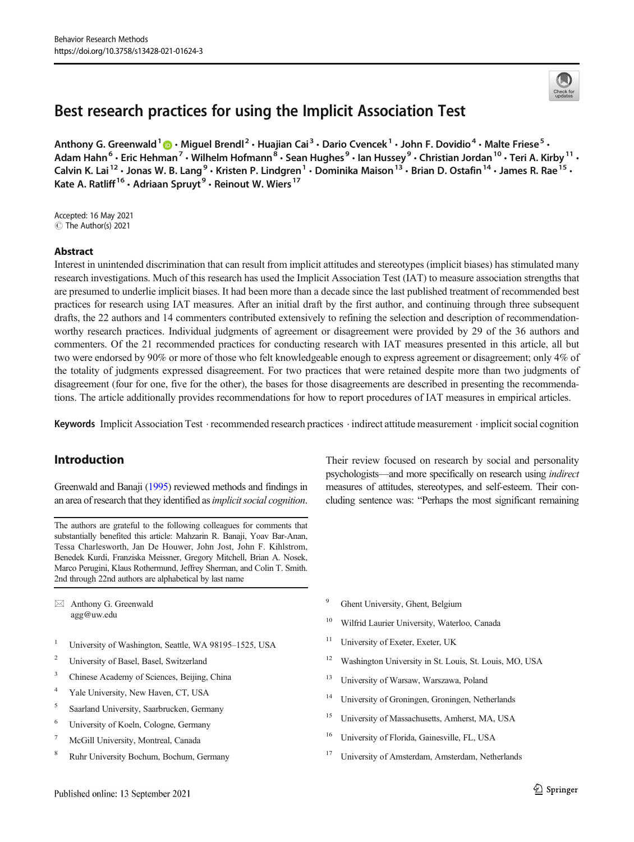# Best research practices for using the Implicit Association Test

Anthony G. Greenwald  $1 \oplus \cdot$  Miguel Brendl<sup>2</sup>  $\cdot$  Huajian Cai<sup>3</sup>  $\cdot$  Dario Cvencek  $1 \cdot$  John F. Dovidio  $4 \cdot$  Malte Friese  $5 \cdot$ Adam Hahn<sup>6</sup> · Eric Hehman<sup>7</sup> · Wilhelm Hofmann<sup>8</sup> · Sean Hughes<sup>9</sup> · Ian Hussey<sup>9</sup> · Christian Jordan<sup>10</sup> · Teri A. Kirby<sup>11</sup> · Calvin K. Lai<sup>12</sup> • Jonas W. B. Lang<sup>9</sup> • Kristen P. Lindgren<sup>1</sup> • Dominika Maison<sup>13</sup> • Brian D. Ostafin<sup>14</sup> • James R. Rae<sup>15</sup> • Kate A. Ratliff<sup>16</sup> · Adriaan Spruyt<sup>9</sup> · Reinout W. Wiers<sup>17</sup>

Accepted: 16 May 2021 © The Author(s) 2021

#### Abstract

Interest in unintended discrimination that can result from implicit attitudes and stereotypes (implicit biases) has stimulated many research investigations. Much of this research has used the Implicit Association Test (IAT) to measure association strengths that are presumed to underlie implicit biases. It had been more than a decade since the last published treatment of recommended best practices for research using IAT measures. After an initial draft by the first author, and continuing through three subsequent drafts, the 22 authors and 14 commenters contributed extensively to refining the selection and description of recommendationworthy research practices. Individual judgments of agreement or disagreement were provided by 29 of the 36 authors and commenters. Of the 21 recommended practices for conducting research with IAT measures presented in this article, all but two were endorsed by 90% or more of those who felt knowledgeable enough to express agreement or disagreement; only 4% of the totality of judgments expressed disagreement. For two practices that were retained despite more than two judgments of disagreement (four for one, five for the other), the bases for those disagreements are described in presenting the recommendations. The article additionally provides recommendations for how to report procedures of IAT measures in empirical articles.

Keywords Implicit Association Test . recommended research practices . indirect attitude measurement . implicit social cognition

# Introduction

Greenwald and Banaji [\(1995\)](#page-17-0) reviewed methods and findings in an area of research that they identified as *implicit social cognition*.

The authors are grateful to the following colleagues for comments that substantially benefited this article: Mahzarin R. Banaji, Yoav Bar-Anan, Tessa Charlesworth, Jan De Houwer, John Jost, John F. Kihlstrom, Benedek Kurdi, Franziska Meissner, Gregory Mitchell, Brian A. Nosek, Marco Perugini, Klaus Rothermund, Jeffrey Sherman, and Colin T. Smith. 2nd through 22nd authors are alphabetical by last name

 $\boxtimes$  Anthony G. Greenwald [agg@uw.edu](mailto:agg@uw.edu)

- <sup>1</sup> University of Washington, Seattle, WA 98195-1525, USA
- <sup>2</sup> University of Basel, Basel, Switzerland
- <sup>3</sup> Chinese Academy of Sciences, Beijing, China
- <sup>4</sup> Yale University, New Haven, CT, USA
- <sup>5</sup> Saarland University, Saarbrucken, Germany
- <sup>6</sup> University of Koeln, Cologne, Germany
- <sup>7</sup> McGill University, Montreal, Canada
- <sup>8</sup> Ruhr University Bochum, Bochum, Germany

Their review focused on research by social and personality psychologists—and more specifically on research using indirect measures of attitudes, stereotypes, and self-esteem. Their concluding sentence was: "Perhaps the most significant remaining

- <sup>9</sup> Ghent University, Ghent, Belgium
- <sup>10</sup> Wilfrid Laurier University, Waterloo, Canada
- <sup>11</sup> University of Exeter, Exeter, UK
- <sup>12</sup> Washington University in St. Louis, St. Louis, MO, USA
- <sup>13</sup> University of Warsaw, Warszawa, Poland
- <sup>14</sup> University of Groningen, Groningen, Netherlands
- <sup>15</sup> University of Massachusetts, Amherst, MA, USA
- <sup>16</sup> University of Florida, Gainesville, FL, USA
- University of Amsterdam, Amsterdam, Netherlands

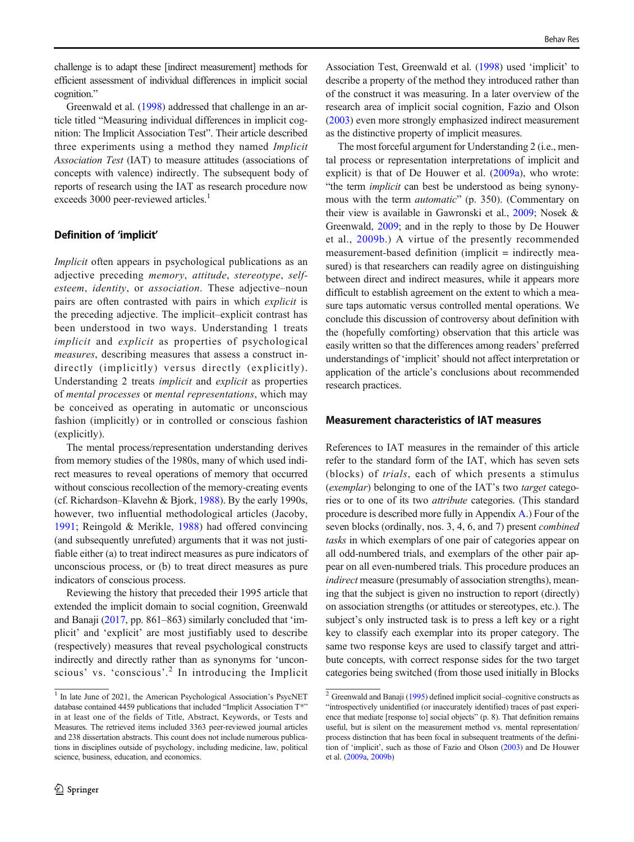challenge is to adapt these [indirect measurement] methods for efficient assessment of individual differences in implicit social cognition."

Greenwald et al. ([1998](#page-17-0)) addressed that challenge in an article titled "Measuring individual differences in implicit cognition: The Implicit Association Test". Their article described three experiments using a method they named Implicit Association Test (IAT) to measure attitudes (associations of concepts with valence) indirectly. The subsequent body of reports of research using the IAT as research procedure now exceeds 3000 peer-reviewed articles.<sup>1</sup>

#### Definition of 'implicit'

Implicit often appears in psychological publications as an adjective preceding memory, attitude, stereotype, selfesteem, identity, or association. These adjective–noun pairs are often contrasted with pairs in which explicit is the preceding adjective. The implicit–explicit contrast has been understood in two ways. Understanding 1 treats implicit and explicit as properties of psychological measures, describing measures that assess a construct indirectly (implicitly) versus directly (explicitly). Understanding 2 treats implicit and explicit as properties of mental processes or mental representations, which may be conceived as operating in automatic or unconscious fashion (implicitly) or in controlled or conscious fashion (explicitly).

The mental process/representation understanding derives from memory studies of the 1980s, many of which used indirect measures to reveal operations of memory that occurred without conscious recollection of the memory-creating events (cf. Richardson–Klavehn & Bjork, [1988](#page-18-0)). By the early 1990s, however, two influential methodological articles (Jacoby, [1991](#page-18-0); Reingold & Merikle, [1988](#page-18-0)) had offered convincing (and subsequently unrefuted) arguments that it was not justifiable either (a) to treat indirect measures as pure indicators of unconscious process, or (b) to treat direct measures as pure indicators of conscious process.

Reviewing the history that preceded their 1995 article that extended the implicit domain to social cognition, Greenwald and Banaji [\(2017,](#page-17-0) pp. 861–863) similarly concluded that 'implicit' and 'explicit' are most justifiably used to describe (respectively) measures that reveal psychological constructs indirectly and directly rather than as synonyms for 'unconscious' vs. 'conscious'.<sup>2</sup> In introducing the Implicit

Association Test, Greenwald et al. ([1998](#page-17-0)) used 'implicit' to describe a property of the method they introduced rather than of the construct it was measuring. In a later overview of the research area of implicit social cognition, Fazio and Olson [\(2003\)](#page-17-0) even more strongly emphasized indirect measurement as the distinctive property of implicit measures.

The most forceful argument for Understanding 2 (i.e., mental process or representation interpretations of implicit and explicit) is that of De Houwer et al. ([2009a](#page-17-0)), who wrote: "the term *implicit* can best be understood as being synonymous with the term automatic" (p. 350). (Commentary on their view is available in Gawronski et al., [2009;](#page-17-0) Nosek & Greenwald, [2009](#page-18-0); and in the reply to those by De Houwer et al., [2009b.](#page-17-0)) A virtue of the presently recommended measurement-based definition (implicit = indirectly measured) is that researchers can readily agree on distinguishing between direct and indirect measures, while it appears more difficult to establish agreement on the extent to which a measure taps automatic versus controlled mental operations. We conclude this discussion of controversy about definition with the (hopefully comforting) observation that this article was easily written so that the differences among readers' preferred understandings of 'implicit' should not affect interpretation or application of the article's conclusions about recommended research practices.

#### Measurement characteristics of IAT measures

References to IAT measures in the remainder of this article refer to the standard form of the IAT, which has seven sets (blocks) of trials, each of which presents a stimulus (exemplar) belonging to one of the IAT's two target categories or to one of its two attribute categories. (This standard procedure is described more fully in Appendix [A](#page-15-0).) Four of the seven blocks (ordinally, nos. 3, 4, 6, and 7) present combined tasks in which exemplars of one pair of categories appear on all odd-numbered trials, and exemplars of the other pair appear on all even-numbered trials. This procedure produces an indirect measure (presumably of association strengths), meaning that the subject is given no instruction to report (directly) on association strengths (or attitudes or stereotypes, etc.). The subject's only instructed task is to press a left key or a right key to classify each exemplar into its proper category. The same two response keys are used to classify target and attribute concepts, with correct response sides for the two target categories being switched (from those used initially in Blocks

<sup>&</sup>lt;sup>1</sup> In late June of 2021, the American Psychological Association's PsycNET database contained 4459 publications that included "Implicit Association T\*" in at least one of the fields of Title, Abstract, Keywords, or Tests and Measures. The retrieved items included 3363 peer-reviewed journal articles and 238 dissertation abstracts. This count does not include numerous publications in disciplines outside of psychology, including medicine, law, political science, business, education, and economics.

 $2\overline{C}$  Greenwald and Banaji ([1995](#page-17-0)) defined implicit social–cognitive constructs as "introspectively unidentified (or inaccurately identified) traces of past experience that mediate [response to] social objects" (p. 8). That definition remains useful, but is silent on the measurement method vs. mental representation/ process distinction that has been focal in subsequent treatments of the definition of 'implicit', such as those of Fazio and Olson [\(2003\)](#page-17-0) and De Houwer et al. ([2009a,](#page-17-0) [2009b\)](#page-17-0)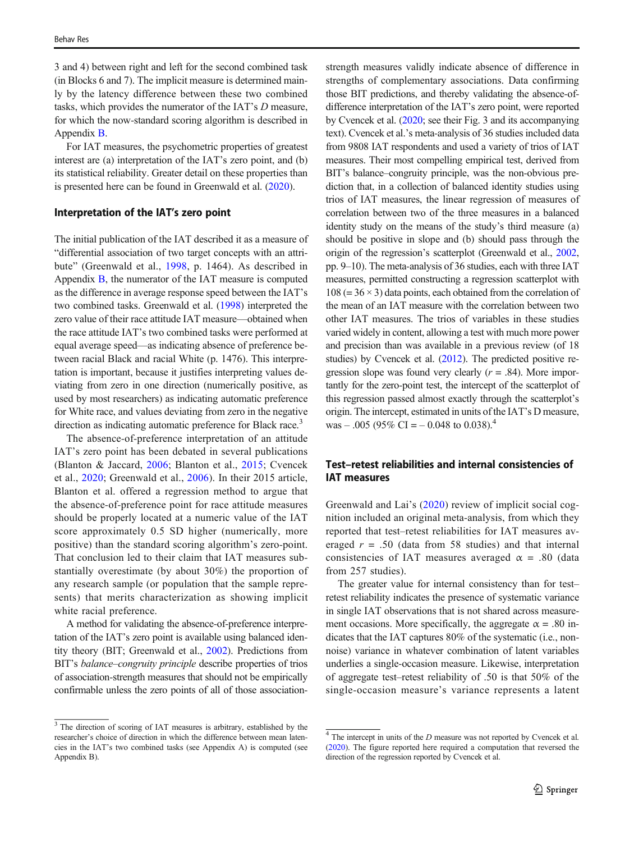3 and 4) between right and left for the second combined task (in Blocks 6 and 7). The implicit measure is determined mainly by the latency difference between these two combined tasks, which provides the numerator of the IAT's D measure, for which the now-standard scoring algorithm is described in Appendix [B.](#page-16-0)

For IAT measures, the psychometric properties of greatest interest are (a) interpretation of the IAT's zero point, and (b) its statistical reliability. Greater detail on these properties than is presented here can be found in Greenwald et al. [\(2020\)](#page-17-0).

#### Interpretation of the IAT's zero point

The initial publication of the IAT described it as a measure of "differential association of two target concepts with an attribute" (Greenwald et al., [1998,](#page-17-0) p. 1464). As described in Appendix  $\overline{B}$ , the numerator of the IAT measure is computed as the difference in average response speed between the IAT's two combined tasks. Greenwald et al. ([1998](#page-17-0)) interpreted the zero value of their race attitude IAT measure—obtained when the race attitude IAT's two combined tasks were performed at equal average speed—as indicating absence of preference between racial Black and racial White (p. 1476). This interpretation is important, because it justifies interpreting values deviating from zero in one direction (numerically positive, as used by most researchers) as indicating automatic preference for White race, and values deviating from zero in the negative direction as indicating automatic preference for Black race.<sup>3</sup>

The absence-of-preference interpretation of an attitude IAT's zero point has been debated in several publications (Blanton & Jaccard, [2006](#page-17-0); Blanton et al., [2015](#page-17-0); Cvencek et al., [2020](#page-17-0); Greenwald et al., [2006](#page-17-0)). In their 2015 article, Blanton et al. offered a regression method to argue that the absence-of-preference point for race attitude measures should be properly located at a numeric value of the IAT score approximately 0.5 SD higher (numerically, more positive) than the standard scoring algorithm's zero-point. That conclusion led to their claim that IAT measures substantially overestimate (by about 30%) the proportion of any research sample (or population that the sample represents) that merits characterization as showing implicit white racial preference.

A method for validating the absence-of-preference interpretation of the IAT's zero point is available using balanced identity theory (BIT; Greenwald et al., [2002\)](#page-17-0). Predictions from BIT's balance–congruity principle describe properties of trios of association-strength measures that should not be empirically confirmable unless the zero points of all of those associationstrength measures validly indicate absence of difference in strengths of complementary associations. Data confirming those BIT predictions, and thereby validating the absence-ofdifference interpretation of the IAT's zero point, were reported by Cvencek et al. [\(2020](#page-17-0); see their Fig. 3 and its accompanying text). Cvencek et al.'s meta-analysis of 36 studies included data from 9808 IAT respondents and used a variety of trios of IAT measures. Their most compelling empirical test, derived from BIT's balance–congruity principle, was the non-obvious prediction that, in a collection of balanced identity studies using trios of IAT measures, the linear regression of measures of correlation between two of the three measures in a balanced identity study on the means of the study's third measure (a) should be positive in slope and (b) should pass through the origin of the regression's scatterplot (Greenwald et al., [2002,](#page-17-0) pp. 9–10). The meta-analysis of 36 studies, each with three IAT measures, permitted constructing a regression scatterplot with  $108 (= 36 \times 3)$  data points, each obtained from the correlation of the mean of an IAT measure with the correlation between two other IAT measures. The trios of variables in these studies varied widely in content, allowing a test with much more power and precision than was available in a previous review (of 18 studies) by Cvencek et al. [\(2012](#page-17-0)). The predicted positive regression slope was found very clearly  $(r = .84)$ . More importantly for the zero-point test, the intercept of the scatterplot of this regression passed almost exactly through the scatterplot's origin. The intercept, estimated in units of the IAT's D measure, was – .005 (95% CI = – 0.048 to 0.038).<sup>4</sup>

# Test–retest reliabilities and internal consistencies of IAT measures

Greenwald and Lai's ([2020\)](#page-17-0) review of implicit social cognition included an original meta-analysis, from which they reported that test–retest reliabilities for IAT measures averaged  $r = .50$  (data from 58 studies) and that internal consistencies of IAT measures averaged  $\alpha$  = .80 (data from 257 studies).

The greater value for internal consistency than for test– retest reliability indicates the presence of systematic variance in single IAT observations that is not shared across measurement occasions. More specifically, the aggregate  $\alpha = .80$  indicates that the IAT captures 80% of the systematic (i.e., nonnoise) variance in whatever combination of latent variables underlies a single-occasion measure. Likewise, interpretation of aggregate test–retest reliability of .50 is that 50% of the single-occasion measure's variance represents a latent

<sup>&</sup>lt;sup>3</sup> The direction of scoring of IAT measures is arbitrary, established by the researcher's choice of direction in which the difference between mean latencies in the IAT's two combined tasks (see Appendix A) is computed (see Appendix B).

 $4$  The intercept in units of the  $D$  measure was not reported by Cvencek et al. ([2020](#page-17-0)). The figure reported here required a computation that reversed the direction of the regression reported by Cvencek et al.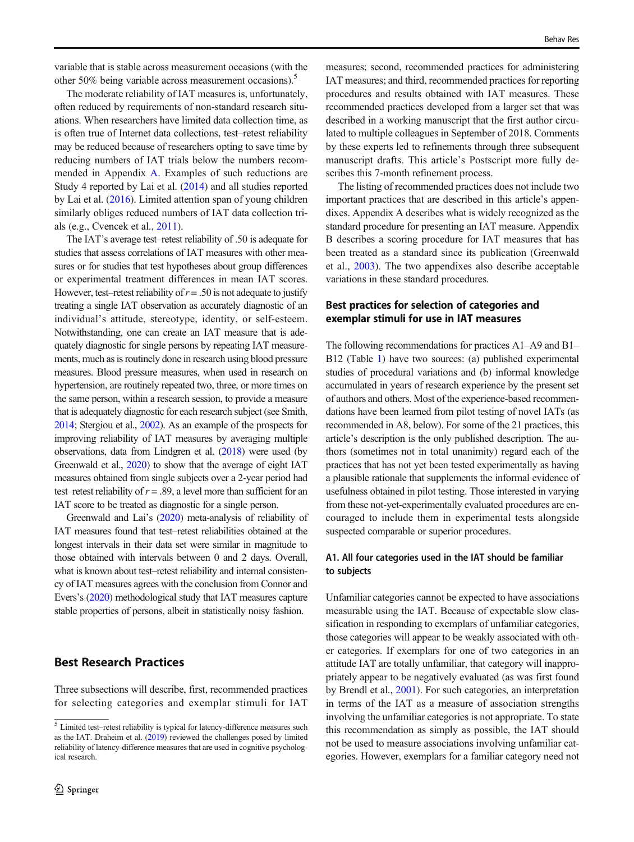variable that is stable across measurement occasions (with the other 50% being variable across measurement occasions).<sup>5</sup>

The moderate reliability of IAT measures is, unfortunately, often reduced by requirements of non-standard research situations. When researchers have limited data collection time, as is often true of Internet data collections, test–retest reliability may be reduced because of researchers opting to save time by reducing numbers of IAT trials below the numbers recommended in Appendix [A](#page-15-0). Examples of such reductions are Study 4 reported by Lai et al. ([2014](#page-18-0)) and all studies reported by Lai et al. ([2016\)](#page-18-0). Limited attention span of young children similarly obliges reduced numbers of IAT data collection trials (e.g., Cvencek et al., [2011\)](#page-17-0).

The IAT's average test–retest reliability of .50 is adequate for studies that assess correlations of IAT measures with other measures or for studies that test hypotheses about group differences or experimental treatment differences in mean IAT scores. However, test–retest reliability of  $r = .50$  is not adequate to justify treating a single IAT observation as accurately diagnostic of an individual's attitude, stereotype, identity, or self-esteem. Notwithstanding, one can create an IAT measure that is adequately diagnostic for single persons by repeating IAT measurements, much as is routinely done in research using blood pressure measures. Blood pressure measures, when used in research on hypertension, are routinely repeated two, three, or more times on the same person, within a research session, to provide a measure that is adequately diagnostic for each research subject (see Smith, [2014;](#page-18-0) Stergiou et al., [2002](#page-18-0)). As an example of the prospects for improving reliability of IAT measures by averaging multiple observations, data from Lindgren et al. [\(2018](#page-18-0)) were used (by Greenwald et al., [2020\)](#page-17-0) to show that the average of eight IAT measures obtained from single subjects over a 2-year period had test–retest reliability of  $r = .89$ , a level more than sufficient for an IAT score to be treated as diagnostic for a single person.

Greenwald and Lai's [\(2020](#page-17-0)) meta-analysis of reliability of IAT measures found that test–retest reliabilities obtained at the longest intervals in their data set were similar in magnitude to those obtained with intervals between 0 and 2 days. Overall, what is known about test–retest reliability and internal consistency of IAT measures agrees with the conclusion from Connor and Evers's [\(2020\)](#page-17-0) methodological study that IAT measures capture stable properties of persons, albeit in statistically noisy fashion.

### Best Research Practices

Three subsections will describe, first, recommended practices for selecting categories and exemplar stimuli for IAT

measures; second, recommended practices for administering IAT measures; and third, recommended practices for reporting procedures and results obtained with IAT measures. These recommended practices developed from a larger set that was described in a working manuscript that the first author circulated to multiple colleagues in September of 2018. Comments by these experts led to refinements through three subsequent manuscript drafts. This article's Postscript more fully describes this 7-month refinement process.

The listing of recommended practices does not include two important practices that are described in this article's appendixes. Appendix A describes what is widely recognized as the standard procedure for presenting an IAT measure. Appendix B describes a scoring procedure for IAT measures that has been treated as a standard since its publication (Greenwald et al., [2003](#page-17-0)). The two appendixes also describe acceptable variations in these standard procedures.

### Best practices for selection of categories and exemplar stimuli for use in IAT measures

The following recommendations for practices A1–A9 and B1– B12 (Table [1](#page-4-0)) have two sources: (a) published experimental studies of procedural variations and (b) informal knowledge accumulated in years of research experience by the present set of authors and others. Most of the experience-based recommendations have been learned from pilot testing of novel IATs (as recommended in A8, below). For some of the 21 practices, this article's description is the only published description. The authors (sometimes not in total unanimity) regard each of the practices that has not yet been tested experimentally as having a plausible rationale that supplements the informal evidence of usefulness obtained in pilot testing. Those interested in varying from these not-yet-experimentally evaluated procedures are encouraged to include them in experimental tests alongside suspected comparable or superior procedures.

### A1. All four categories used in the IAT should be familiar to subjects

Unfamiliar categories cannot be expected to have associations measurable using the IAT. Because of expectable slow classification in responding to exemplars of unfamiliar categories, those categories will appear to be weakly associated with other categories. If exemplars for one of two categories in an attitude IAT are totally unfamiliar, that category will inappropriately appear to be negatively evaluated (as was first found by Brendl et al., [2001](#page-17-0)). For such categories, an interpretation in terms of the IAT as a measure of association strengths involving the unfamiliar categories is not appropriate. To state this recommendation as simply as possible, the IAT should not be used to measure associations involving unfamiliar categories. However, exemplars for a familiar category need not

 $\overline{\text{5}}$  Limited test–retest reliability is typical for latency-difference measures such as the IAT. Draheim et al. ([2019](#page-17-0)) reviewed the challenges posed by limited reliability of latency-difference measures that are used in cognitive psychological research.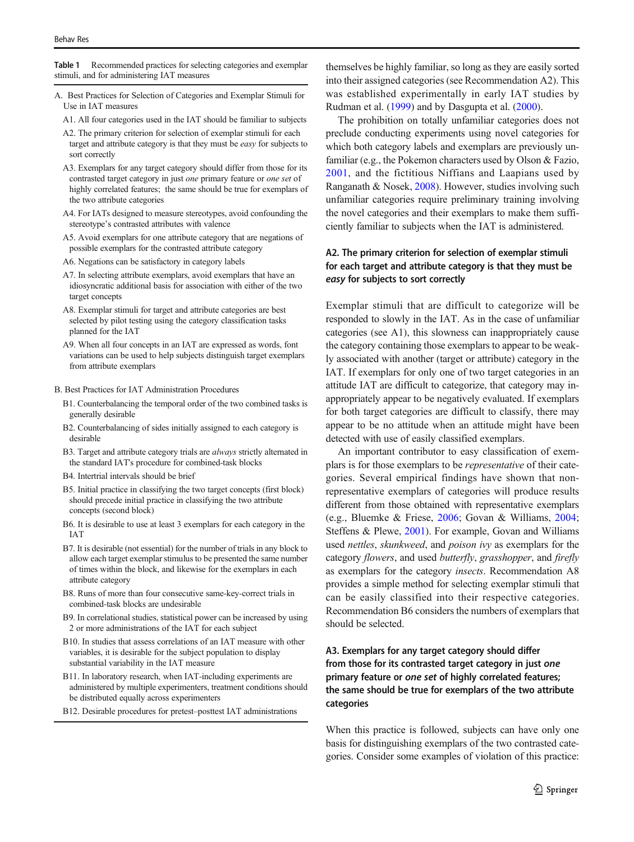<span id="page-4-0"></span>Table 1 Recommended practices for selecting categories and exemplar stimuli, and for administering IAT measures

- A. Best Practices for Selection of Categories and Exemplar Stimuli for Use in IAT measures
	- A1. All four categories used in the IAT should be familiar to subjects
	- A2. The primary criterion for selection of exemplar stimuli for each target and attribute category is that they must be easy for subjects to sort correctly
	- A3. Exemplars for any target category should differ from those for its contrasted target category in just one primary feature or one set of highly correlated features; the same should be true for exemplars of the two attribute categories
	- A4. For IATs designed to measure stereotypes, avoid confounding the stereotype's contrasted attributes with valence
	- A5. Avoid exemplars for one attribute category that are negations of possible exemplars for the contrasted attribute category
	- A6. Negations can be satisfactory in category labels
	- A7. In selecting attribute exemplars, avoid exemplars that have an idiosyncratic additional basis for association with either of the two target concepts
	- A8. Exemplar stimuli for target and attribute categories are best selected by pilot testing using the category classification tasks planned for the IAT
	- A9. When all four concepts in an IAT are expressed as words, font variations can be used to help subjects distinguish target exemplars from attribute exemplars
- B. Best Practices for IAT Administration Procedures
	- B1. Counterbalancing the temporal order of the two combined tasks is generally desirable
	- B2. Counterbalancing of sides initially assigned to each category is desirable
	- B3. Target and attribute category trials are always strictly alternated in the standard IAT's procedure for combined-task blocks
	- B4. Intertrial intervals should be brief
	- B5. Initial practice in classifying the two target concepts (first block) should precede initial practice in classifying the two attribute concepts (second block)
	- B6. It is desirable to use at least 3 exemplars for each category in the IAT
	- B7. It is desirable (not essential) for the number of trials in any block to allow each target exemplar stimulus to be presented the same number of times within the block, and likewise for the exemplars in each attribute category
	- B8. Runs of more than four consecutive same-key-correct trials in combined-task blocks are undesirable
	- B9. In correlational studies, statistical power can be increased by using 2 or more administrations of the IAT for each subject
	- B10. In studies that assess correlations of an IAT measure with other variables, it is desirable for the subject population to display substantial variability in the IAT measure
	- B11. In laboratory research, when IAT-including experiments are administered by multiple experimenters, treatment conditions should be distributed equally across experimenters
	- B12. Desirable procedures for pretest–posttest IAT administrations

themselves be highly familiar, so long as they are easily sorted into their assigned categories (see Recommendation A2). This was established experimentally in early IAT studies by Rudman et al. ([1999](#page-18-0)) and by Dasgupta et al. [\(2000\)](#page-17-0).

The prohibition on totally unfamiliar categories does not preclude conducting experiments using novel categories for which both category labels and exemplars are previously unfamiliar (e.g., the Pokemon characters used by Olson & Fazio, [2001](#page-18-0), and the fictitious Niffians and Laapians used by Ranganath & Nosek, [2008](#page-18-0)). However, studies involving such unfamiliar categories require preliminary training involving the novel categories and their exemplars to make them sufficiently familiar to subjects when the IAT is administered.

### A2. The primary criterion for selection of exemplar stimuli for each target and attribute category is that they must be easy for subjects to sort correctly

Exemplar stimuli that are difficult to categorize will be responded to slowly in the IAT. As in the case of unfamiliar categories (see A1), this slowness can inappropriately cause the category containing those exemplars to appear to be weakly associated with another (target or attribute) category in the IAT. If exemplars for only one of two target categories in an attitude IAT are difficult to categorize, that category may inappropriately appear to be negatively evaluated. If exemplars for both target categories are difficult to classify, there may appear to be no attitude when an attitude might have been detected with use of easily classified exemplars.

An important contributor to easy classification of exemplars is for those exemplars to be representative of their categories. Several empirical findings have shown that nonrepresentative exemplars of categories will produce results different from those obtained with representative exemplars (e.g., Bluemke & Friese, [2006](#page-17-0); Govan & Williams, [2004;](#page-17-0) Steffens & Plewe, [2001\)](#page-18-0). For example, Govan and Williams used nettles, skunkweed, and poison ivy as exemplars for the category flowers, and used butterfly, grasshopper, and firefly as exemplars for the category insects. Recommendation A8 provides a simple method for selecting exemplar stimuli that can be easily classified into their respective categories. Recommendation B6 considers the numbers of exemplars that should be selected.

# A3. Exemplars for any target category should differ from those for its contrasted target category in just one primary feature or one set of highly correlated features; the same should be true for exemplars of the two attribute categories

When this practice is followed, subjects can have only one basis for distinguishing exemplars of the two contrasted categories. Consider some examples of violation of this practice: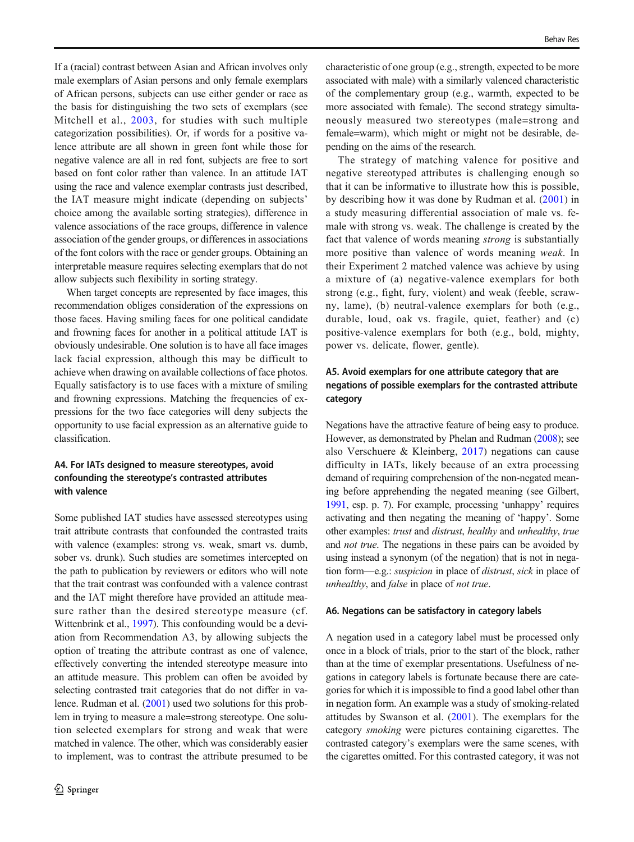If a (racial) contrast between Asian and African involves only male exemplars of Asian persons and only female exemplars of African persons, subjects can use either gender or race as the basis for distinguishing the two sets of exemplars (see Mitchell et al., [2003](#page-18-0), for studies with such multiple categorization possibilities). Or, if words for a positive valence attribute are all shown in green font while those for negative valence are all in red font, subjects are free to sort based on font color rather than valence. In an attitude IAT using the race and valence exemplar contrasts just described, the IAT measure might indicate (depending on subjects' choice among the available sorting strategies), difference in valence associations of the race groups, difference in valence association of the gender groups, or differences in associations of the font colors with the race or gender groups. Obtaining an interpretable measure requires selecting exemplars that do not allow subjects such flexibility in sorting strategy.

When target concepts are represented by face images, this recommendation obliges consideration of the expressions on those faces. Having smiling faces for one political candidate and frowning faces for another in a political attitude IAT is obviously undesirable. One solution is to have all face images lack facial expression, although this may be difficult to achieve when drawing on available collections of face photos. Equally satisfactory is to use faces with a mixture of smiling and frowning expressions. Matching the frequencies of expressions for the two face categories will deny subjects the opportunity to use facial expression as an alternative guide to classification.

### A4. For IATs designed to measure stereotypes, avoid confounding the stereotype's contrasted attributes with valence

Some published IAT studies have assessed stereotypes using trait attribute contrasts that confounded the contrasted traits with valence (examples: strong vs. weak, smart vs. dumb, sober vs. drunk). Such studies are sometimes intercepted on the path to publication by reviewers or editors who will note that the trait contrast was confounded with a valence contrast and the IAT might therefore have provided an attitude measure rather than the desired stereotype measure (cf. Wittenbrink et al., [1997\)](#page-19-0). This confounding would be a deviation from Recommendation A3, by allowing subjects the option of treating the attribute contrast as one of valence, effectively converting the intended stereotype measure into an attitude measure. This problem can often be avoided by selecting contrasted trait categories that do not differ in valence. Rudman et al. [\(2001](#page-18-0)) used two solutions for this problem in trying to measure a male=strong stereotype. One solution selected exemplars for strong and weak that were matched in valence. The other, which was considerably easier to implement, was to contrast the attribute presumed to be characteristic of one group (e.g., strength, expected to be more associated with male) with a similarly valenced characteristic of the complementary group (e.g., warmth, expected to be more associated with female). The second strategy simultaneously measured two stereotypes (male=strong and female=warm), which might or might not be desirable, depending on the aims of the research.

The strategy of matching valence for positive and negative stereotyped attributes is challenging enough so that it can be informative to illustrate how this is possible, by describing how it was done by Rudman et al. ([2001](#page-18-0)) in a study measuring differential association of male vs. female with strong vs. weak. The challenge is created by the fact that valence of words meaning strong is substantially more positive than valence of words meaning weak. In their Experiment 2 matched valence was achieve by using a mixture of (a) negative-valence exemplars for both strong (e.g., fight, fury, violent) and weak (feeble, scrawny, lame), (b) neutral-valence exemplars for both (e.g., durable, loud, oak vs. fragile, quiet, feather) and (c) positive-valence exemplars for both (e.g., bold, mighty, power vs. delicate, flower, gentle).

### A5. Avoid exemplars for one attribute category that are negations of possible exemplars for the contrasted attribute category

Negations have the attractive feature of being easy to produce. However, as demonstrated by Phelan and Rudman ([2008\)](#page-18-0); see also Verschuere & Kleinberg, [2017](#page-19-0)) negations can cause difficulty in IATs, likely because of an extra processing demand of requiring comprehension of the non-negated meaning before apprehending the negated meaning (see Gilbert, [1991](#page-17-0), esp. p. 7). For example, processing 'unhappy' requires activating and then negating the meaning of 'happy'. Some other examples: trust and distrust, healthy and unhealthy, true and not true. The negations in these pairs can be avoided by using instead a synonym (of the negation) that is not in negation form—e.g.: suspicion in place of distrust, sick in place of unhealthy, and false in place of not true.

#### A6. Negations can be satisfactory in category labels

A negation used in a category label must be processed only once in a block of trials, prior to the start of the block, rather than at the time of exemplar presentations. Usefulness of negations in category labels is fortunate because there are categories for which it is impossible to find a good label other than in negation form. An example was a study of smoking-related attitudes by Swanson et al. [\(2001](#page-18-0)). The exemplars for the category smoking were pictures containing cigarettes. The contrasted category's exemplars were the same scenes, with the cigarettes omitted. For this contrasted category, it was not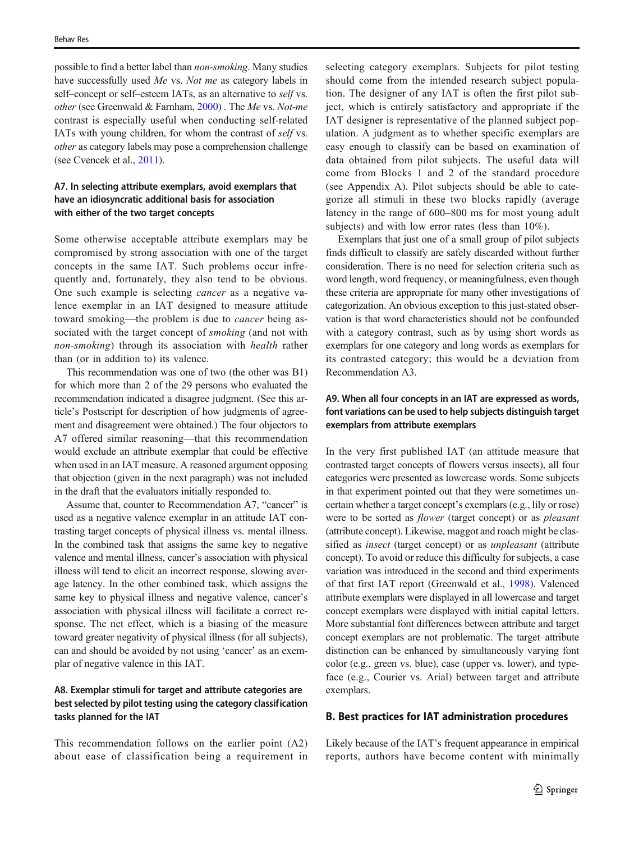possible to find a better label than non-smoking. Many studies have successfully used Me vs. Not me as category labels in self–concept or self–esteem IATs, as an alternative to *self* vs. other (see Greenwald & Farnham, [2000\)](#page-17-0) . The Me vs. Not-me contrast is especially useful when conducting self-related IATs with young children, for whom the contrast of self vs. other as category labels may pose a comprehension challenge (see Cvencek et al., [2011](#page-17-0)).

### A7. In selecting attribute exemplars, avoid exemplars that have an idiosyncratic additional basis for association with either of the two target concepts

Some otherwise acceptable attribute exemplars may be compromised by strong association with one of the target concepts in the same IAT. Such problems occur infrequently and, fortunately, they also tend to be obvious. One such example is selecting cancer as a negative valence exemplar in an IAT designed to measure attitude toward smoking—the problem is due to cancer being associated with the target concept of *smoking* (and not with non-smoking) through its association with health rather than (or in addition to) its valence.

This recommendation was one of two (the other was B1) for which more than 2 of the 29 persons who evaluated the recommendation indicated a disagree judgment. (See this article's Postscript for description of how judgments of agreement and disagreement were obtained.) The four objectors to A7 offered similar reasoning—that this recommendation would exclude an attribute exemplar that could be effective when used in an IAT measure. A reasoned argument opposing that objection (given in the next paragraph) was not included in the draft that the evaluators initially responded to.

Assume that, counter to Recommendation A7, "cancer" is used as a negative valence exemplar in an attitude IAT contrasting target concepts of physical illness vs. mental illness. In the combined task that assigns the same key to negative valence and mental illness, cancer's association with physical illness will tend to elicit an incorrect response, slowing average latency. In the other combined task, which assigns the same key to physical illness and negative valence, cancer's association with physical illness will facilitate a correct response. The net effect, which is a biasing of the measure toward greater negativity of physical illness (for all subjects), can and should be avoided by not using 'cancer' as an exemplar of negative valence in this IAT.

### A8. Exemplar stimuli for target and attribute categories are best selected by pilot testing using the category classification tasks planned for the IAT

This recommendation follows on the earlier point (A2) about ease of classification being a requirement in selecting category exemplars. Subjects for pilot testing should come from the intended research subject population. The designer of any IAT is often the first pilot subject, which is entirely satisfactory and appropriate if the IAT designer is representative of the planned subject population. A judgment as to whether specific exemplars are easy enough to classify can be based on examination of data obtained from pilot subjects. The useful data will come from Blocks 1 and 2 of the standard procedure (see Appendix A). Pilot subjects should be able to categorize all stimuli in these two blocks rapidly (average latency in the range of 600–800 ms for most young adult subjects) and with low error rates (less than 10%).

Exemplars that just one of a small group of pilot subjects finds difficult to classify are safely discarded without further consideration. There is no need for selection criteria such as word length, word frequency, or meaningfulness, even though these criteria are appropriate for many other investigations of categorization. An obvious exception to this just-stated observation is that word characteristics should not be confounded with a category contrast, such as by using short words as exemplars for one category and long words as exemplars for its contrasted category; this would be a deviation from Recommendation A3.

### A9. When all four concepts in an IAT are expressed as words, font variations can be used to help subjects distinguish target exemplars from attribute exemplars

In the very first published IAT (an attitude measure that contrasted target concepts of flowers versus insects), all four categories were presented as lowercase words. Some subjects in that experiment pointed out that they were sometimes uncertain whether a target concept's exemplars (e.g., lily or rose) were to be sorted as flower (target concept) or as pleasant (attribute concept). Likewise, maggot and roach might be classified as insect (target concept) or as unpleasant (attribute concept). To avoid or reduce this difficulty for subjects, a case variation was introduced in the second and third experiments of that first IAT report (Greenwald et al., [1998\)](#page-17-0). Valenced attribute exemplars were displayed in all lowercase and target concept exemplars were displayed with initial capital letters. More substantial font differences between attribute and target concept exemplars are not problematic. The target–attribute distinction can be enhanced by simultaneously varying font color (e.g., green vs. blue), case (upper vs. lower), and typeface (e.g., Courier vs. Arial) between target and attribute exemplars.

#### B. Best practices for IAT administration procedures

Likely because of the IAT's frequent appearance in empirical reports, authors have become content with minimally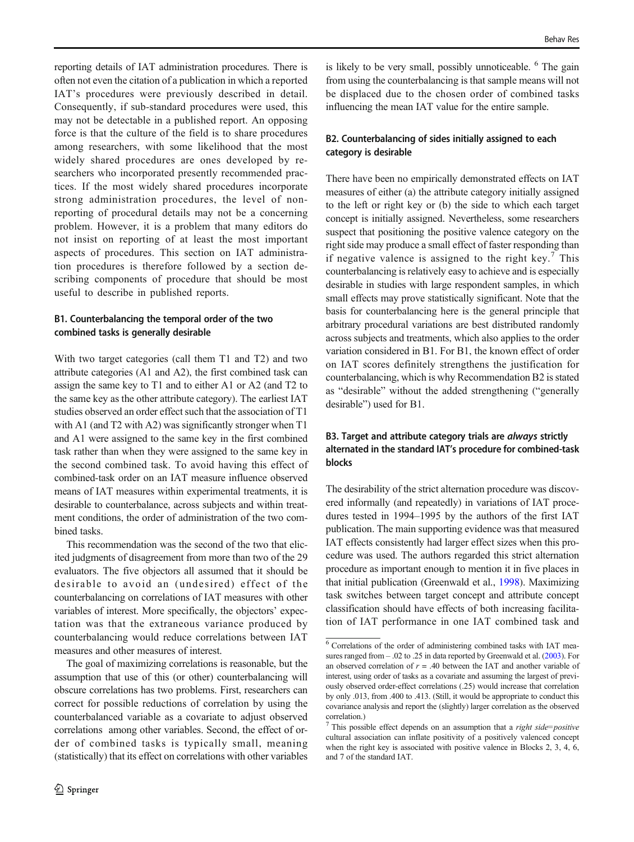reporting details of IAT administration procedures. There is often not even the citation of a publication in which a reported IAT's procedures were previously described in detail. Consequently, if sub-standard procedures were used, this may not be detectable in a published report. An opposing force is that the culture of the field is to share procedures among researchers, with some likelihood that the most widely shared procedures are ones developed by researchers who incorporated presently recommended practices. If the most widely shared procedures incorporate strong administration procedures, the level of nonreporting of procedural details may not be a concerning problem. However, it is a problem that many editors do not insist on reporting of at least the most important aspects of procedures. This section on IAT administration procedures is therefore followed by a section describing components of procedure that should be most useful to describe in published reports.

### B1. Counterbalancing the temporal order of the two combined tasks is generally desirable

With two target categories (call them T1 and T2) and two attribute categories (A1 and A2), the first combined task can assign the same key to T1 and to either A1 or A2 (and T2 to the same key as the other attribute category). The earliest IAT studies observed an order effect such that the association of T1 with A1 (and T2 with A2) was significantly stronger when T1 and A1 were assigned to the same key in the first combined task rather than when they were assigned to the same key in the second combined task. To avoid having this effect of combined-task order on an IAT measure influence observed means of IAT measures within experimental treatments, it is desirable to counterbalance, across subjects and within treatment conditions, the order of administration of the two combined tasks.

This recommendation was the second of the two that elicited judgments of disagreement from more than two of the 29 evaluators. The five objectors all assumed that it should be desirable to avoid an (undesired) effect of the counterbalancing on correlations of IAT measures with other variables of interest. More specifically, the objectors' expectation was that the extraneous variance produced by counterbalancing would reduce correlations between IAT measures and other measures of interest.

The goal of maximizing correlations is reasonable, but the assumption that use of this (or other) counterbalancing will obscure correlations has two problems. First, researchers can correct for possible reductions of correlation by using the counterbalanced variable as a covariate to adjust observed correlations among other variables. Second, the effect of order of combined tasks is typically small, meaning (statistically) that its effect on correlations with other variables

is likely to be very small, possibly unnoticeable.  $6$  The gain from using the counterbalancing is that sample means will not be displaced due to the chosen order of combined tasks influencing the mean IAT value for the entire sample.

### B2. Counterbalancing of sides initially assigned to each category is desirable

There have been no empirically demonstrated effects on IAT measures of either (a) the attribute category initially assigned to the left or right key or (b) the side to which each target concept is initially assigned. Nevertheless, some researchers suspect that positioning the positive valence category on the right side may produce a small effect of faster responding than if negative valence is assigned to the right key.<sup>7</sup> This counterbalancing is relatively easy to achieve and is especially desirable in studies with large respondent samples, in which small effects may prove statistically significant. Note that the basis for counterbalancing here is the general principle that arbitrary procedural variations are best distributed randomly across subjects and treatments, which also applies to the order variation considered in B1. For B1, the known effect of order on IAT scores definitely strengthens the justification for counterbalancing, which is why Recommendation B2 is stated as "desirable" without the added strengthening ("generally desirable") used for B1.

### B3. Target and attribute category trials are *always* strictly alternated in the standard IAT's procedure for combined-task blocks

The desirability of the strict alternation procedure was discovered informally (and repeatedly) in variations of IAT procedures tested in 1994–1995 by the authors of the first IAT publication. The main supporting evidence was that measured IAT effects consistently had larger effect sizes when this procedure was used. The authors regarded this strict alternation procedure as important enough to mention it in five places in that initial publication (Greenwald et al., [1998](#page-17-0)). Maximizing task switches between target concept and attribute concept classification should have effects of both increasing facilitation of IAT performance in one IAT combined task and

 $\overline{6}$  Correlations of the order of administering combined tasks with IAT measures ranged from – .02 to .25 in data reported by Greenwald et al. [\(2003](#page-17-0)). For an observed correlation of  $r = .40$  between the IAT and another variable of interest, using order of tasks as a covariate and assuming the largest of previously observed order-effect correlations (.25) would increase that correlation by only .013, from .400 to .413. (Still, it would be appropriate to conduct this covariance analysis and report the (slightly) larger correlation as the observed correlation.)

 $7$  This possible effect depends on an assumption that a *right side=positive* cultural association can inflate positivity of a positively valenced concept when the right key is associated with positive valence in Blocks 2, 3, 4, 6, and 7 of the standard IAT.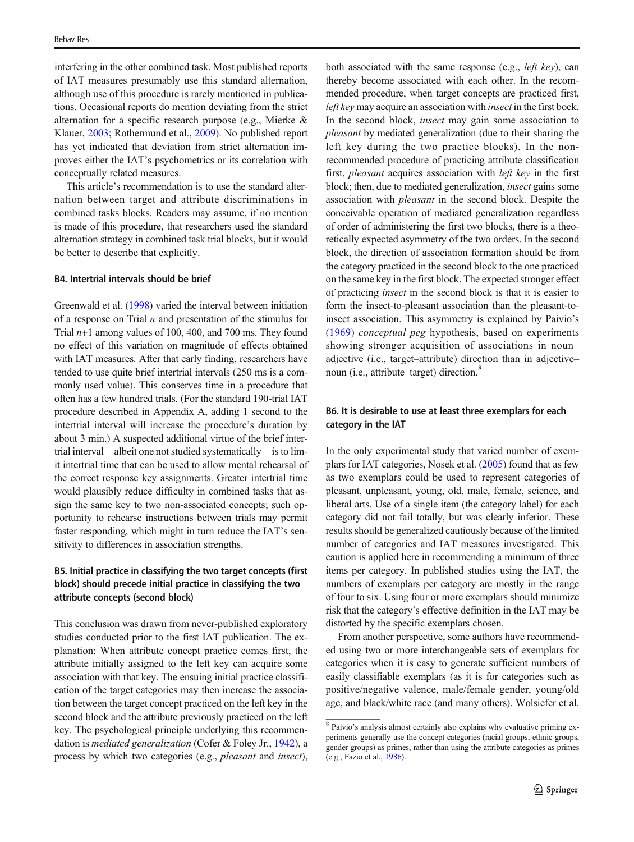interfering in the other combined task. Most published reports of IAT measures presumably use this standard alternation, although use of this procedure is rarely mentioned in publications. Occasional reports do mention deviating from the strict alternation for a specific research purpose (e.g., Mierke & Klauer, [2003](#page-18-0); Rothermund et al., [2009\)](#page-18-0). No published report has yet indicated that deviation from strict alternation improves either the IAT's psychometrics or its correlation with conceptually related measures.

This article's recommendation is to use the standard alternation between target and attribute discriminations in combined tasks blocks. Readers may assume, if no mention is made of this procedure, that researchers used the standard alternation strategy in combined task trial blocks, but it would be better to describe that explicitly.

#### B4. Intertrial intervals should be brief

Greenwald et al. ([1998](#page-17-0)) varied the interval between initiation of a response on Trial  $n$  and presentation of the stimulus for Trial  $n+1$  among values of 100, 400, and 700 ms. They found no effect of this variation on magnitude of effects obtained with IAT measures. After that early finding, researchers have tended to use quite brief intertrial intervals (250 ms is a commonly used value). This conserves time in a procedure that often has a few hundred trials. (For the standard 190-trial IAT procedure described in Appendix A, adding 1 second to the intertrial interval will increase the procedure's duration by about 3 min.) A suspected additional virtue of the brief intertrial interval—albeit one not studied systematically—is to limit intertrial time that can be used to allow mental rehearsal of the correct response key assignments. Greater intertrial time would plausibly reduce difficulty in combined tasks that assign the same key to two non-associated concepts; such opportunity to rehearse instructions between trials may permit faster responding, which might in turn reduce the IAT's sensitivity to differences in association strengths.

### B5. Initial practice in classifying the two target concepts (first block) should precede initial practice in classifying the two attribute concepts (second block)

This conclusion was drawn from never-published exploratory studies conducted prior to the first IAT publication. The explanation: When attribute concept practice comes first, the attribute initially assigned to the left key can acquire some association with that key. The ensuing initial practice classification of the target categories may then increase the association between the target concept practiced on the left key in the second block and the attribute previously practiced on the left key. The psychological principle underlying this recommen-dation is mediated generalization (Cofer & Foley Jr., [1942](#page-17-0)), a process by which two categories (e.g., pleasant and insect),

both associated with the same response (e.g., *left kev*), can thereby become associated with each other. In the recommended procedure, when target concepts are practiced first, left key may acquire an association with insect in the first bock. In the second block, insect may gain some association to pleasant by mediated generalization (due to their sharing the left key during the two practice blocks). In the nonrecommended procedure of practicing attribute classification first, pleasant acquires association with left key in the first block; then, due to mediated generalization, insect gains some association with pleasant in the second block. Despite the conceivable operation of mediated generalization regardless of order of administering the first two blocks, there is a theoretically expected asymmetry of the two orders. In the second block, the direction of association formation should be from the category practiced in the second block to the one practiced on the same key in the first block. The expected stronger effect of practicing insect in the second block is that it is easier to form the insect-to-pleasant association than the pleasant-toinsect association. This asymmetry is explained by Paivio's [\(1969\)](#page-18-0) conceptual peg hypothesis, based on experiments showing stronger acquisition of associations in noun– adjective (i.e., target–attribute) direction than in adjective– noun (i.e., attribute–target) direction.<sup>8</sup>

#### B6. It is desirable to use at least three exemplars for each category in the IAT

In the only experimental study that varied number of exemplars for IAT categories, Nosek et al. [\(2005\)](#page-18-0) found that as few as two exemplars could be used to represent categories of pleasant, unpleasant, young, old, male, female, science, and liberal arts. Use of a single item (the category label) for each category did not fail totally, but was clearly inferior. These results should be generalized cautiously because of the limited number of categories and IAT measures investigated. This caution is applied here in recommending a minimum of three items per category. In published studies using the IAT, the numbers of exemplars per category are mostly in the range of four to six. Using four or more exemplars should minimize risk that the category's effective definition in the IAT may be distorted by the specific exemplars chosen.

From another perspective, some authors have recommended using two or more interchangeable sets of exemplars for categories when it is easy to generate sufficient numbers of easily classifiable exemplars (as it is for categories such as positive/negative valence, male/female gender, young/old age, and black/white race (and many others). Wolsiefer et al.

<sup>8</sup> Paivio's analysis almost certainly also explains why evaluative priming experiments generally use the concept categories (racial groups, ethnic groups, gender groups) as primes, rather than using the attribute categories as primes (e.g., Fazio et al., [1986](#page-17-0)).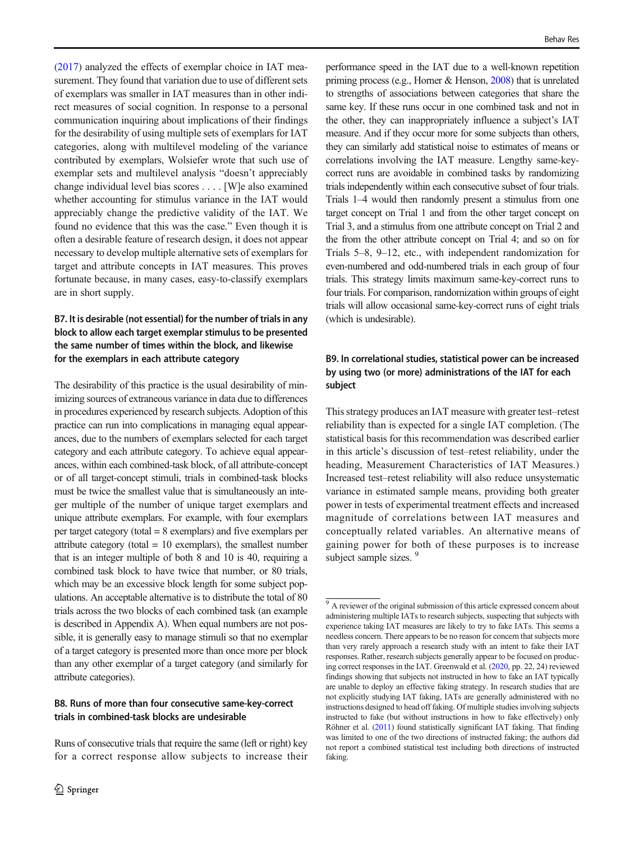[\(2017\)](#page-19-0) analyzed the effects of exemplar choice in IAT measurement. They found that variation due to use of different sets of exemplars was smaller in IAT measures than in other indirect measures of social cognition. In response to a personal communication inquiring about implications of their findings for the desirability of using multiple sets of exemplars for IAT categories, along with multilevel modeling of the variance contributed by exemplars, Wolsiefer wrote that such use of exemplar sets and multilevel analysis "doesn't appreciably change individual level bias scores . . . . [W]e also examined whether accounting for stimulus variance in the IAT would appreciably change the predictive validity of the IAT. We found no evidence that this was the case." Even though it is often a desirable feature of research design, it does not appear necessary to develop multiple alternative sets of exemplars for target and attribute concepts in IAT measures. This proves fortunate because, in many cases, easy-to-classify exemplars are in short supply.

### B7. It is desirable (not essential) for the number of trials in any block to allow each target exemplar stimulus to be presented the same number of times within the block, and likewise for the exemplars in each attribute category

The desirability of this practice is the usual desirability of minimizing sources of extraneous variance in data due to differences in procedures experienced by research subjects. Adoption of this practice can run into complications in managing equal appearances, due to the numbers of exemplars selected for each target category and each attribute category. To achieve equal appearances, within each combined-task block, of all attribute-concept or of all target-concept stimuli, trials in combined-task blocks must be twice the smallest value that is simultaneously an integer multiple of the number of unique target exemplars and unique attribute exemplars. For example, with four exemplars per target category (total = 8 exemplars) and five exemplars per attribute category (total  $= 10$  exemplars), the smallest number that is an integer multiple of both 8 and 10 is 40, requiring a combined task block to have twice that number, or 80 trials, which may be an excessive block length for some subject populations. An acceptable alternative is to distribute the total of 80 trials across the two blocks of each combined task (an example is described in Appendix A). When equal numbers are not possible, it is generally easy to manage stimuli so that no exemplar of a target category is presented more than once more per block than any other exemplar of a target category (and similarly for attribute categories).

### B8. Runs of more than four consecutive same-key-correct trials in combined-task blocks are undesirable

Runs of consecutive trials that require the same (left or right) key for a correct response allow subjects to increase their Behav Res

performance speed in the IAT due to a well-known repetition priming process (e.g., Horner & Henson, [2008\)](#page-18-0) that is unrelated to strengths of associations between categories that share the same key. If these runs occur in one combined task and not in the other, they can inappropriately influence a subject's IAT measure. And if they occur more for some subjects than others, they can similarly add statistical noise to estimates of means or correlations involving the IAT measure. Lengthy same-keycorrect runs are avoidable in combined tasks by randomizing trials independently within each consecutive subset of four trials. Trials 1–4 would then randomly present a stimulus from one target concept on Trial 1 and from the other target concept on Trial 3, and a stimulus from one attribute concept on Trial 2 and the from the other attribute concept on Trial 4; and so on for Trials 5–8, 9–12, etc., with independent randomization for even-numbered and odd-numbered trials in each group of four trials. This strategy limits maximum same-key-correct runs to four trials. For comparison, randomization within groups of eight trials will allow occasional same-key-correct runs of eight trials (which is undesirable).

# B9. In correlational studies, statistical power can be increased by using two (or more) administrations of the IAT for each subject

This strategy produces an IAT measure with greater test–retest reliability than is expected for a single IAT completion. (The statistical basis for this recommendation was described earlier in this article's discussion of test–retest reliability, under the heading, Measurement Characteristics of IAT Measures.) Increased test–retest reliability will also reduce unsystematic variance in estimated sample means, providing both greater power in tests of experimental treatment effects and increased magnitude of correlations between IAT measures and conceptually related variables. An alternative means of gaining power for both of these purposes is to increase subject sample sizes.<sup>9</sup>

<sup>&</sup>lt;sup>9</sup> A reviewer of the original submission of this article expressed concern about administering multiple IATs to research subjects, suspecting that subjects with experience taking IAT measures are likely to try to fake IATs. This seems a needless concern. There appears to be no reason for concern that subjects more than very rarely approach a research study with an intent to fake their IAT responses. Rather, research subjects generally appear to be focused on producing correct responses in the IAT. Greenwald et al. [\(2020](#page-17-0), pp. 22, 24) reviewed findings showing that subjects not instructed in how to fake an IAT typically are unable to deploy an effective faking strategy. In research studies that are not explicitly studying IAT faking, IATs are generally administered with no instructions designed to head off faking. Of multiple studies involving subjects instructed to fake (but without instructions in how to fake effectively) only Röhner et al. [\(2011\)](#page-18-0) found statistically significant IAT faking. That finding was limited to one of the two directions of instructed faking; the authors did not report a combined statistical test including both directions of instructed faking.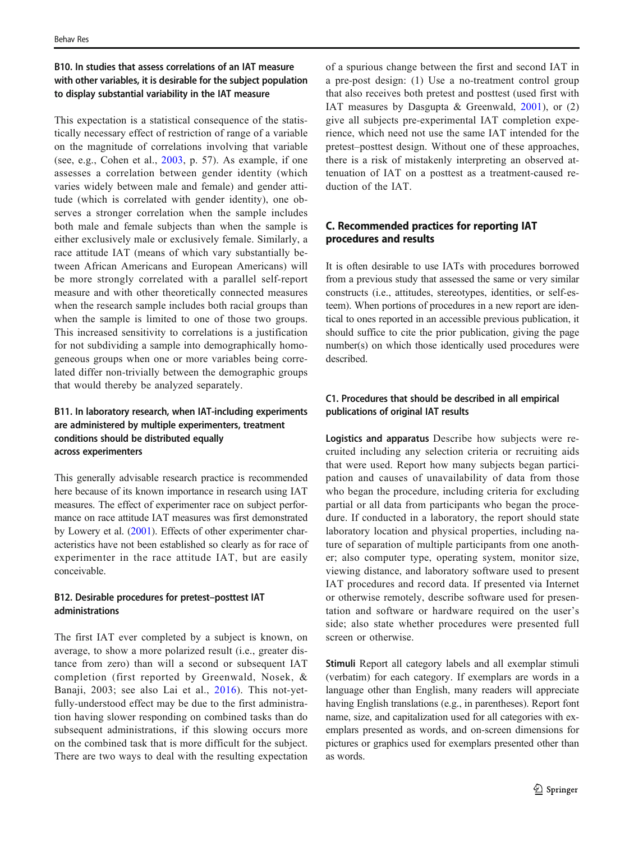# B10. In studies that assess correlations of an IAT measure with other variables, it is desirable for the subject population to display substantial variability in the IAT measure

This expectation is a statistical consequence of the statistically necessary effect of restriction of range of a variable on the magnitude of correlations involving that variable (see, e.g., Cohen et al., [2003](#page-17-0), p. 57). As example, if one assesses a correlation between gender identity (which varies widely between male and female) and gender attitude (which is correlated with gender identity), one observes a stronger correlation when the sample includes both male and female subjects than when the sample is either exclusively male or exclusively female. Similarly, a race attitude IAT (means of which vary substantially between African Americans and European Americans) will be more strongly correlated with a parallel self-report measure and with other theoretically connected measures when the research sample includes both racial groups than when the sample is limited to one of those two groups. This increased sensitivity to correlations is a justification for not subdividing a sample into demographically homogeneous groups when one or more variables being correlated differ non-trivially between the demographic groups that would thereby be analyzed separately.

# B11. In laboratory research, when IAT-including experiments are administered by multiple experimenters, treatment conditions should be distributed equally across experimenters

This generally advisable research practice is recommended here because of its known importance in research using IAT measures. The effect of experimenter race on subject performance on race attitude IAT measures was first demonstrated by Lowery et al. ([2001](#page-18-0)). Effects of other experimenter characteristics have not been established so clearly as for race of experimenter in the race attitude IAT, but are easily conceivable.

### B12. Desirable procedures for pretest–posttest IAT administrations

The first IAT ever completed by a subject is known, on average, to show a more polarized result (i.e., greater distance from zero) than will a second or subsequent IAT completion (first reported by Greenwald, Nosek, & Banaji, 2003; see also Lai et al., [2016](#page-18-0)). This not-yetfully-understood effect may be due to the first administration having slower responding on combined tasks than do subsequent administrations, if this slowing occurs more on the combined task that is more difficult for the subject. There are two ways to deal with the resulting expectation of a spurious change between the first and second IAT in a pre-post design: (1) Use a no-treatment control group that also receives both pretest and posttest (used first with IAT measures by Dasgupta & Greenwald, [2001\)](#page-17-0), or (2) give all subjects pre-experimental IAT completion experience, which need not use the same IAT intended for the pretest–posttest design. Without one of these approaches, there is a risk of mistakenly interpreting an observed attenuation of IAT on a posttest as a treatment-caused reduction of the IAT.

# C. Recommended practices for reporting IAT procedures and results

It is often desirable to use IATs with procedures borrowed from a previous study that assessed the same or very similar constructs (i.e., attitudes, stereotypes, identities, or self-esteem). When portions of procedures in a new report are identical to ones reported in an accessible previous publication, it should suffice to cite the prior publication, giving the page number(s) on which those identically used procedures were described.

### C1. Procedures that should be described in all empirical publications of original IAT results

Logistics and apparatus Describe how subjects were recruited including any selection criteria or recruiting aids that were used. Report how many subjects began participation and causes of unavailability of data from those who began the procedure, including criteria for excluding partial or all data from participants who began the procedure. If conducted in a laboratory, the report should state laboratory location and physical properties, including nature of separation of multiple participants from one another; also computer type, operating system, monitor size, viewing distance, and laboratory software used to present IAT procedures and record data. If presented via Internet or otherwise remotely, describe software used for presentation and software or hardware required on the user's side; also state whether procedures were presented full screen or otherwise.

Stimuli Report all category labels and all exemplar stimuli (verbatim) for each category. If exemplars are words in a language other than English, many readers will appreciate having English translations (e.g., in parentheses). Report font name, size, and capitalization used for all categories with exemplars presented as words, and on-screen dimensions for pictures or graphics used for exemplars presented other than as words.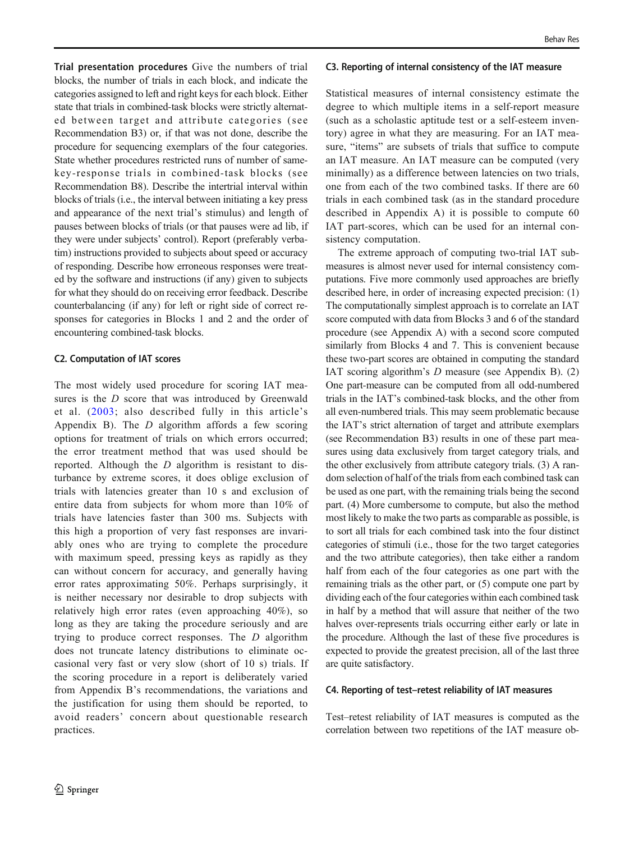Trial presentation procedures Give the numbers of trial blocks, the number of trials in each block, and indicate the categories assigned to left and right keys for each block. Either state that trials in combined-task blocks were strictly alternated between target and attribute categories (see Recommendation B3) or, if that was not done, describe the procedure for sequencing exemplars of the four categories. State whether procedures restricted runs of number of samekey-response trials in combined-task blocks (see Recommendation B8). Describe the intertrial interval within blocks of trials (i.e., the interval between initiating a key press and appearance of the next trial's stimulus) and length of pauses between blocks of trials (or that pauses were ad lib, if they were under subjects' control). Report (preferably verbatim) instructions provided to subjects about speed or accuracy of responding. Describe how erroneous responses were treated by the software and instructions (if any) given to subjects for what they should do on receiving error feedback. Describe counterbalancing (if any) for left or right side of correct responses for categories in Blocks 1 and 2 and the order of encountering combined-task blocks.

#### C2. Computation of IAT scores

The most widely used procedure for scoring IAT measures is the D score that was introduced by Greenwald et al. ([2003;](#page-17-0) also described fully in this article's Appendix B). The  $D$  algorithm affords a few scoring options for treatment of trials on which errors occurred; the error treatment method that was used should be reported. Although the D algorithm is resistant to disturbance by extreme scores, it does oblige exclusion of trials with latencies greater than 10 s and exclusion of entire data from subjects for whom more than 10% of trials have latencies faster than 300 ms. Subjects with this high a proportion of very fast responses are invariably ones who are trying to complete the procedure with maximum speed, pressing keys as rapidly as they can without concern for accuracy, and generally having error rates approximating 50%. Perhaps surprisingly, it is neither necessary nor desirable to drop subjects with relatively high error rates (even approaching 40%), so long as they are taking the procedure seriously and are trying to produce correct responses. The D algorithm does not truncate latency distributions to eliminate occasional very fast or very slow (short of 10 s) trials. If the scoring procedure in a report is deliberately varied from Appendix B's recommendations, the variations and the justification for using them should be reported, to avoid readers' concern about questionable research practices.

#### C3. Reporting of internal consistency of the IAT measure

Statistical measures of internal consistency estimate the degree to which multiple items in a self-report measure (such as a scholastic aptitude test or a self-esteem inventory) agree in what they are measuring. For an IAT measure, "items" are subsets of trials that suffice to compute an IAT measure. An IAT measure can be computed (very minimally) as a difference between latencies on two trials, one from each of the two combined tasks. If there are 60 trials in each combined task (as in the standard procedure described in Appendix A) it is possible to compute 60 IAT part-scores, which can be used for an internal consistency computation.

The extreme approach of computing two-trial IAT submeasures is almost never used for internal consistency computations. Five more commonly used approaches are briefly described here, in order of increasing expected precision: (1) The computationally simplest approach is to correlate an IAT score computed with data from Blocks 3 and 6 of the standard procedure (see Appendix A) with a second score computed similarly from Blocks 4 and 7. This is convenient because these two-part scores are obtained in computing the standard IAT scoring algorithm's D measure (see Appendix B). (2) One part-measure can be computed from all odd-numbered trials in the IAT's combined-task blocks, and the other from all even-numbered trials. This may seem problematic because the IAT's strict alternation of target and attribute exemplars (see Recommendation B3) results in one of these part measures using data exclusively from target category trials, and the other exclusively from attribute category trials. (3) A random selection of half of the trials from each combined task can be used as one part, with the remaining trials being the second part. (4) More cumbersome to compute, but also the method most likely to make the two parts as comparable as possible, is to sort all trials for each combined task into the four distinct categories of stimuli (i.e., those for the two target categories and the two attribute categories), then take either a random half from each of the four categories as one part with the remaining trials as the other part, or (5) compute one part by dividing each of the four categories within each combined task in half by a method that will assure that neither of the two halves over-represents trials occurring either early or late in the procedure. Although the last of these five procedures is expected to provide the greatest precision, all of the last three are quite satisfactory.

#### C4. Reporting of test–retest reliability of IAT measures

Test–retest reliability of IAT measures is computed as the correlation between two repetitions of the IAT measure ob-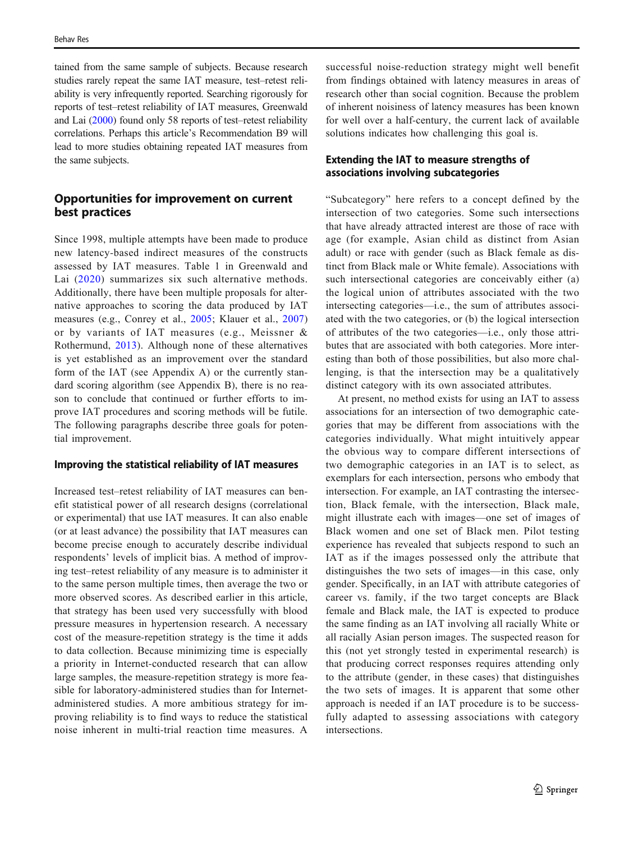tained from the same sample of subjects. Because research studies rarely repeat the same IAT measure, test–retest reliability is very infrequently reported. Searching rigorously for reports of test–retest reliability of IAT measures, Greenwald and Lai ([2000](#page-17-0)) found only 58 reports of test–retest reliability correlations. Perhaps this article's Recommendation B9 will lead to more studies obtaining repeated IAT measures from the same subjects.

# Opportunities for improvement on current best practices

Since 1998, multiple attempts have been made to produce new latency-based indirect measures of the constructs assessed by IAT measures. Table 1 in Greenwald and Lai ([2020\)](#page-17-0) summarizes six such alternative methods. Additionally, there have been multiple proposals for alternative approaches to scoring the data produced by IAT measures (e.g., Conrey et al., [2005](#page-17-0); Klauer et al., [2007\)](#page-18-0) or by variants of IAT measures (e.g., Meissner & Rothermund, [2013\)](#page-18-0). Although none of these alternatives is yet established as an improvement over the standard form of the IAT (see Appendix A) or the currently standard scoring algorithm (see Appendix B), there is no reason to conclude that continued or further efforts to improve IAT procedures and scoring methods will be futile. The following paragraphs describe three goals for potential improvement.

#### Improving the statistical reliability of IAT measures

Increased test–retest reliability of IAT measures can benefit statistical power of all research designs (correlational or experimental) that use IAT measures. It can also enable (or at least advance) the possibility that IAT measures can become precise enough to accurately describe individual respondents' levels of implicit bias. A method of improving test–retest reliability of any measure is to administer it to the same person multiple times, then average the two or more observed scores. As described earlier in this article, that strategy has been used very successfully with blood pressure measures in hypertension research. A necessary cost of the measure-repetition strategy is the time it adds to data collection. Because minimizing time is especially a priority in Internet-conducted research that can allow large samples, the measure-repetition strategy is more feasible for laboratory-administered studies than for Internetadministered studies. A more ambitious strategy for improving reliability is to find ways to reduce the statistical noise inherent in multi-trial reaction time measures. A successful noise-reduction strategy might well benefit from findings obtained with latency measures in areas of research other than social cognition. Because the problem of inherent noisiness of latency measures has been known for well over a half-century, the current lack of available solutions indicates how challenging this goal is.

### Extending the IAT to measure strengths of associations involving subcategories

"Subcategory" here refers to a concept defined by the intersection of two categories. Some such intersections that have already attracted interest are those of race with age (for example, Asian child as distinct from Asian adult) or race with gender (such as Black female as distinct from Black male or White female). Associations with such intersectional categories are conceivably either (a) the logical union of attributes associated with the two intersecting categories—i.e., the sum of attributes associated with the two categories, or (b) the logical intersection of attributes of the two categories—i.e., only those attributes that are associated with both categories. More interesting than both of those possibilities, but also more challenging, is that the intersection may be a qualitatively distinct category with its own associated attributes.

At present, no method exists for using an IAT to assess associations for an intersection of two demographic categories that may be different from associations with the categories individually. What might intuitively appear the obvious way to compare different intersections of two demographic categories in an IAT is to select, as exemplars for each intersection, persons who embody that intersection. For example, an IAT contrasting the intersection, Black female, with the intersection, Black male, might illustrate each with images—one set of images of Black women and one set of Black men. Pilot testing experience has revealed that subjects respond to such an IAT as if the images possessed only the attribute that distinguishes the two sets of images—in this case, only gender. Specifically, in an IAT with attribute categories of career vs. family, if the two target concepts are Black female and Black male, the IAT is expected to produce the same finding as an IAT involving all racially White or all racially Asian person images. The suspected reason for this (not yet strongly tested in experimental research) is that producing correct responses requires attending only to the attribute (gender, in these cases) that distinguishes the two sets of images. It is apparent that some other approach is needed if an IAT procedure is to be successfully adapted to assessing associations with category intersections.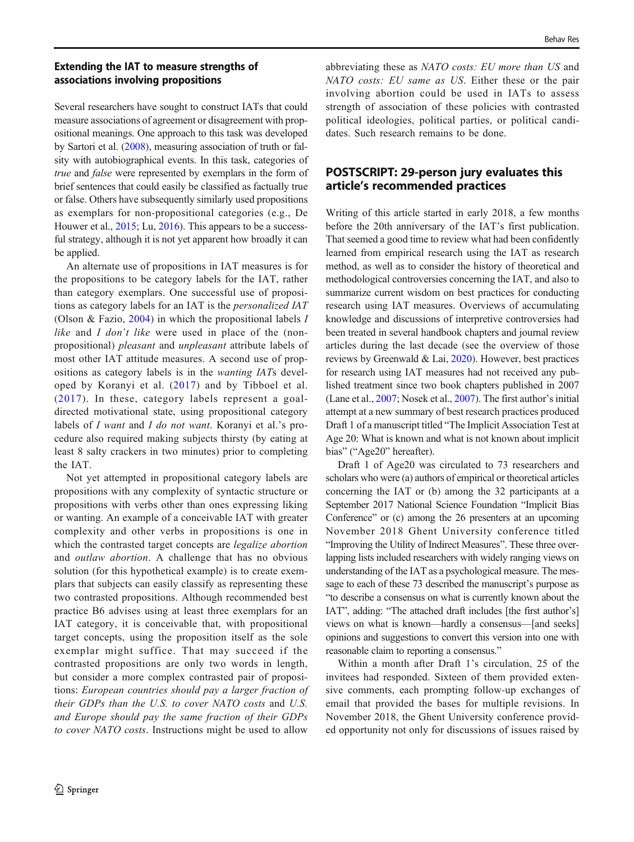### Extending the IAT to measure strengths of associations involving propositions

Several researchers have sought to construct IATs that could measure associations of agreement or disagreement with propositional meanings. One approach to this task was developed by Sartori et al. [\(2008\)](#page-18-0), measuring association of truth or falsity with autobiographical events. In this task, categories of true and false were represented by exemplars in the form of brief sentences that could easily be classified as factually true or false. Others have subsequently similarly used propositions as exemplars for non-propositional categories (e.g., De Houwer et al., [2015](#page-17-0); Lu, [2016\)](#page-18-0). This appears to be a successful strategy, although it is not yet apparent how broadly it can be applied.

An alternate use of propositions in IAT measures is for the propositions to be category labels for the IAT, rather than category exemplars. One successful use of propositions as category labels for an IAT is the personalized IAT (Olson & Fazio,  $2004$ ) in which the propositional labels I like and I don't like were used in place of the (nonpropositional) pleasant and unpleasant attribute labels of most other IAT attitude measures. A second use of propositions as category labels is in the wanting IATs developed by Koranyi et al. ([2017](#page-18-0)) and by Tibboel et al. ([2017](#page-19-0)). In these, category labels represent a goaldirected motivational state, using propositional category labels of I want and I do not want. Koranyi et al.'s procedure also required making subjects thirsty (by eating at least 8 salty crackers in two minutes) prior to completing the IAT.

Not yet attempted in propositional category labels are propositions with any complexity of syntactic structure or propositions with verbs other than ones expressing liking or wanting. An example of a conceivable IAT with greater complexity and other verbs in propositions is one in which the contrasted target concepts are legalize abortion and outlaw abortion. A challenge that has no obvious solution (for this hypothetical example) is to create exemplars that subjects can easily classify as representing these two contrasted propositions. Although recommended best practice B6 advises using at least three exemplars for an IAT category, it is conceivable that, with propositional target concepts, using the proposition itself as the sole exemplar might suffice. That may succeed if the contrasted propositions are only two words in length, but consider a more complex contrasted pair of propositions: European countries should pay a larger fraction of their GDPs than the U.S. to cover NATO costs and U.S. and Europe should pay the same fraction of their GDPs to cover NATO costs. Instructions might be used to allow

abbreviating these as NATO costs: EU more than US and NATO costs: EU same as US. Either these or the pair involving abortion could be used in IATs to assess strength of association of these policies with contrasted political ideologies, political parties, or political candidates. Such research remains to be done.

# POSTSCRIPT: 29-person jury evaluates this article's recommended practices

Writing of this article started in early 2018, a few months before the 20th anniversary of the IAT's first publication. That seemed a good time to review what had been confidently learned from empirical research using the IAT as research method, as well as to consider the history of theoretical and methodological controversies concerning the IAT, and also to summarize current wisdom on best practices for conducting research using IAT measures. Overviews of accumulating knowledge and discussions of interpretive controversies had been treated in several handbook chapters and journal review articles during the last decade (see the overview of those reviews by Greenwald & Lai, [2020](#page-17-0)). However, best practices for research using IAT measures had not received any published treatment since two book chapters published in 2007 (Lane et al., [2007;](#page-18-0) Nosek et al., [2007\)](#page-18-0). The first author's initial attempt at a new summary of best research practices produced Draft 1 of a manuscript titled "The Implicit Association Test at Age 20: What is known and what is not known about implicit bias" ("Age20" hereafter).

Draft 1 of Age20 was circulated to 73 researchers and scholars who were (a) authors of empirical or theoretical articles concerning the IAT or (b) among the 32 participants at a September 2017 National Science Foundation "Implicit Bias Conference" or (c) among the 26 presenters at an upcoming November 2018 Ghent University conference titled "Improving the Utility of Indirect Measures". These three overlapping lists included researchers with widely ranging views on understanding of the IAT as a psychological measure. The message to each of these 73 described the manuscript's purpose as "to describe a consensus on what is currently known about the IAT", adding: "The attached draft includes [the first author's] views on what is known—hardly a consensus—[and seeks] opinions and suggestions to convert this version into one with reasonable claim to reporting a consensus."

Within a month after Draft 1's circulation, 25 of the invitees had responded. Sixteen of them provided extensive comments, each prompting follow-up exchanges of email that provided the bases for multiple revisions. In November 2018, the Ghent University conference provided opportunity not only for discussions of issues raised by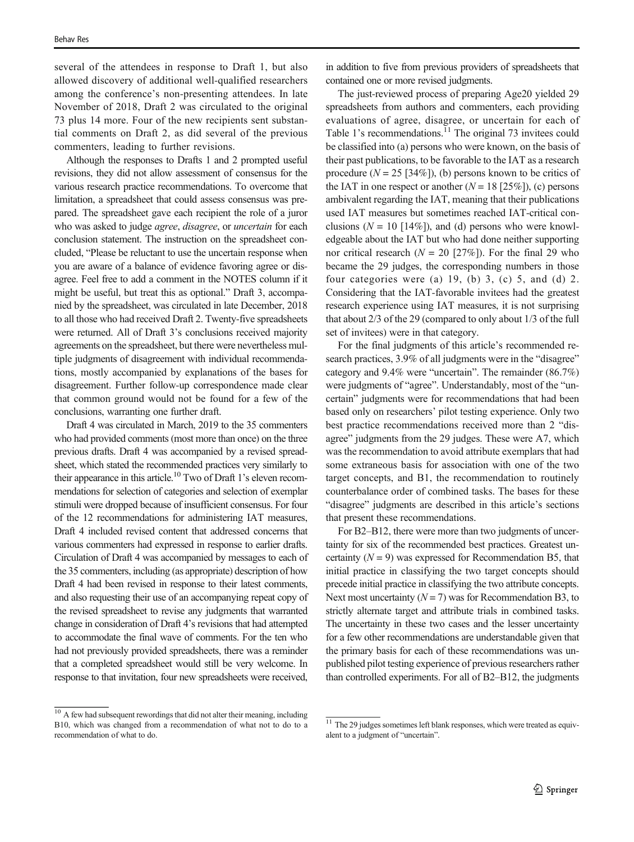several of the attendees in response to Draft 1, but also allowed discovery of additional well-qualified researchers among the conference's non-presenting attendees. In late November of 2018, Draft 2 was circulated to the original 73 plus 14 more. Four of the new recipients sent substantial comments on Draft 2, as did several of the previous commenters, leading to further revisions.

Although the responses to Drafts 1 and 2 prompted useful revisions, they did not allow assessment of consensus for the various research practice recommendations. To overcome that limitation, a spreadsheet that could assess consensus was prepared. The spreadsheet gave each recipient the role of a juror who was asked to judge *agree, disagree, or uncertain* for each conclusion statement. The instruction on the spreadsheet concluded, "Please be reluctant to use the uncertain response when you are aware of a balance of evidence favoring agree or disagree. Feel free to add a comment in the NOTES column if it might be useful, but treat this as optional." Draft 3, accompanied by the spreadsheet, was circulated in late December, 2018 to all those who had received Draft 2. Twenty-five spreadsheets were returned. All of Draft 3's conclusions received majority agreements on the spreadsheet, but there were nevertheless multiple judgments of disagreement with individual recommendations, mostly accompanied by explanations of the bases for disagreement. Further follow-up correspondence made clear that common ground would not be found for a few of the conclusions, warranting one further draft.

Draft 4 was circulated in March, 2019 to the 35 commenters who had provided comments (most more than once) on the three previous drafts. Draft 4 was accompanied by a revised spreadsheet, which stated the recommended practices very similarly to their appearance in this article.<sup>10</sup> Two of Draft 1's eleven recommendations for selection of categories and selection of exemplar stimuli were dropped because of insufficient consensus. For four of the 12 recommendations for administering IAT measures, Draft 4 included revised content that addressed concerns that various commenters had expressed in response to earlier drafts. Circulation of Draft 4 was accompanied by messages to each of the 35 commenters, including (as appropriate) description of how Draft 4 had been revised in response to their latest comments, and also requesting their use of an accompanying repeat copy of the revised spreadsheet to revise any judgments that warranted change in consideration of Draft 4's revisions that had attempted to accommodate the final wave of comments. For the ten who had not previously provided spreadsheets, there was a reminder that a completed spreadsheet would still be very welcome. In response to that invitation, four new spreadsheets were received,

in addition to five from previous providers of spreadsheets that contained one or more revised judgments.

The just-reviewed process of preparing Age20 yielded 29 spreadsheets from authors and commenters, each providing evaluations of agree, disagree, or uncertain for each of Table 1's recommendations. $11$  The original 73 invitees could be classified into (a) persons who were known, on the basis of their past publications, to be favorable to the IAT as a research procedure  $(N = 25$  [34%]), (b) persons known to be critics of the IAT in one respect or another  $(N = 18 [25\%])$ , (c) persons ambivalent regarding the IAT, meaning that their publications used IAT measures but sometimes reached IAT-critical conclusions ( $N = 10$  [14%]), and (d) persons who were knowledgeable about the IAT but who had done neither supporting nor critical research ( $N = 20$  [27%]). For the final 29 who became the 29 judges, the corresponding numbers in those four categories were (a)  $19$ , (b) 3, (c) 5, and (d) 2. Considering that the IAT-favorable invitees had the greatest research experience using IAT measures, it is not surprising that about 2/3 of the 29 (compared to only about 1/3 of the full set of invitees) were in that category.

For the final judgments of this article's recommended research practices, 3.9% of all judgments were in the "disagree" category and 9.4% were "uncertain". The remainder (86.7%) were judgments of "agree". Understandably, most of the "uncertain" judgments were for recommendations that had been based only on researchers' pilot testing experience. Only two best practice recommendations received more than 2 "disagree" judgments from the 29 judges. These were A7, which was the recommendation to avoid attribute exemplars that had some extraneous basis for association with one of the two target concepts, and B1, the recommendation to routinely counterbalance order of combined tasks. The bases for these "disagree" judgments are described in this article's sections that present these recommendations.

For B2–B12, there were more than two judgments of uncertainty for six of the recommended best practices. Greatest uncertainty  $(N = 9)$  was expressed for Recommendation B5, that initial practice in classifying the two target concepts should precede initial practice in classifying the two attribute concepts. Next most uncertainty  $(N = 7)$  was for Recommendation B3, to strictly alternate target and attribute trials in combined tasks. The uncertainty in these two cases and the lesser uncertainty for a few other recommendations are understandable given that the primary basis for each of these recommendations was unpublished pilot testing experience of previous researchers rather than controlled experiments. For all of B2–B12, the judgments

 $10$  A few had subsequent rewordings that did not alter their meaning, including B10, which was changed from a recommendation of what not to do to a recommendation of what to do.

 $11$  The 29 judges sometimes left blank responses, which were treated as equivalent to a judgment of "uncertain".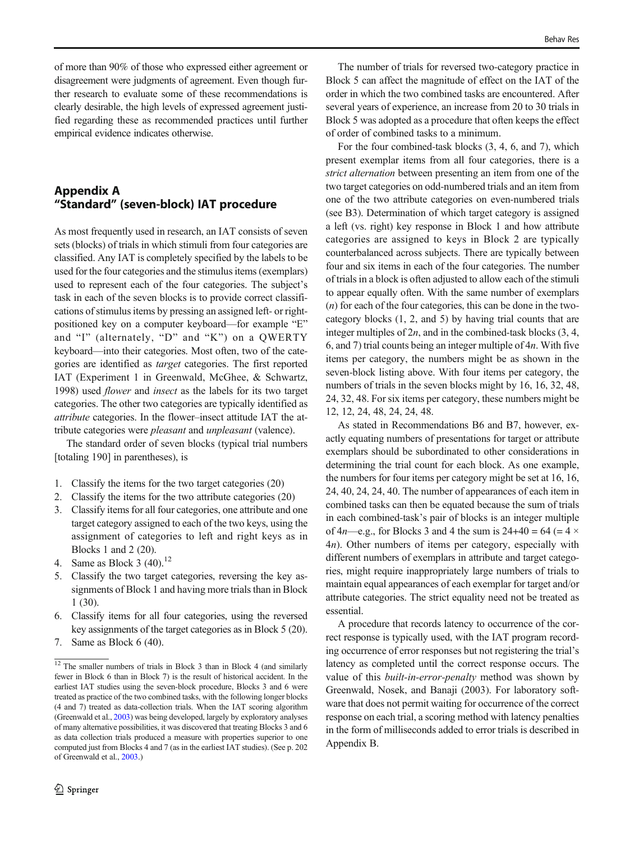<span id="page-15-0"></span>of more than 90% of those who expressed either agreement or disagreement were judgments of agreement. Even though further research to evaluate some of these recommendations is clearly desirable, the high levels of expressed agreement justified regarding these as recommended practices until further empirical evidence indicates otherwise.

# Appendix A "Standard" (seven-block) IAT procedure

As most frequently used in research, an IAT consists of seven sets (blocks) of trials in which stimuli from four categories are classified. Any IAT is completely specified by the labels to be used for the four categories and the stimulus items (exemplars) used to represent each of the four categories. The subject's task in each of the seven blocks is to provide correct classifications of stimulus items by pressing an assigned left- or rightpositioned key on a computer keyboard—for example "E" and "I" (alternately, "D" and "K") on a QWERTY keyboard—into their categories. Most often, two of the categories are identified as target categories. The first reported IAT (Experiment 1 in Greenwald, McGhee, & Schwartz, 1998) used flower and insect as the labels for its two target categories. The other two categories are typically identified as attribute categories. In the flower–insect attitude IAT the attribute categories were pleasant and unpleasant (valence).

The standard order of seven blocks (typical trial numbers [totaling 190] in parentheses), is

- 1. Classify the items for the two target categories (20)
- 2. Classify the items for the two attribute categories (20)
- 3. Classify items for all four categories, one attribute and one target category assigned to each of the two keys, using the assignment of categories to left and right keys as in Blocks 1 and 2 (20).
- 4. Same as Block 3  $(40)^{12}$
- 5. Classify the two target categories, reversing the key assignments of Block 1 and having more trials than in Block 1 (30).
- 6. Classify items for all four categories, using the reversed key assignments of the target categories as in Block 5 (20).
- 7. Same as Block 6 (40).

The number of trials for reversed two-category practice in Block 5 can affect the magnitude of effect on the IAT of the order in which the two combined tasks are encountered. After several years of experience, an increase from 20 to 30 trials in Block 5 was adopted as a procedure that often keeps the effect of order of combined tasks to a minimum.

For the four combined-task blocks (3, 4, 6, and 7), which present exemplar items from all four categories, there is a strict alternation between presenting an item from one of the two target categories on odd-numbered trials and an item from one of the two attribute categories on even-numbered trials (see B3). Determination of which target category is assigned a left (vs. right) key response in Block 1 and how attribute categories are assigned to keys in Block 2 are typically counterbalanced across subjects. There are typically between four and six items in each of the four categories. The number of trials in a block is often adjusted to allow each of the stimuli to appear equally often. With the same number of exemplars  $(n)$  for each of the four categories, this can be done in the twocategory blocks (1, 2, and 5) by having trial counts that are integer multiples of  $2n$ , and in the combined-task blocks  $(3, 4, 4)$ 6, and 7) trial counts being an integer multiple of  $4n$ . With five items per category, the numbers might be as shown in the seven-block listing above. With four items per category, the numbers of trials in the seven blocks might by 16, 16, 32, 48, 24, 32, 48. For six items per category, these numbers might be 12, 12, 24, 48, 24, 24, 48.

As stated in Recommendations B6 and B7, however, exactly equating numbers of presentations for target or attribute exemplars should be subordinated to other considerations in determining the trial count for each block. As one example, the numbers for four items per category might be set at 16, 16, 24, 40, 24, 24, 40. The number of appearances of each item in combined tasks can then be equated because the sum of trials in each combined-task's pair of blocks is an integer multiple of  $4n$ —e.g., for Blocks 3 and 4 the sum is  $24+40 = 64 (= 4 \times$ 4n). Other numbers of items per category, especially with different numbers of exemplars in attribute and target categories, might require inappropriately large numbers of trials to maintain equal appearances of each exemplar for target and/or attribute categories. The strict equality need not be treated as essential.

A procedure that records latency to occurrence of the correct response is typically used, with the IAT program recording occurrence of error responses but not registering the trial's latency as completed until the correct response occurs. The value of this *built-in-error-penalty* method was shown by Greenwald, Nosek, and Banaji (2003). For laboratory software that does not permit waiting for occurrence of the correct response on each trial, a scoring method with latency penalties in the form of milliseconds added to error trials is described in Appendix B.

 $12$  The smaller numbers of trials in Block 3 than in Block 4 (and similarly fewer in Block 6 than in Block 7) is the result of historical accident. In the earliest IAT studies using the seven-block procedure, Blocks 3 and 6 were treated as practice of the two combined tasks, with the following longer blocks (4 and 7) treated as data-collection trials. When the IAT scoring algorithm (Greenwald et al., [2003](#page-17-0)) was being developed, largely by exploratory analyses of many alternative possibilities, it was discovered that treating Blocks 3 and 6 as data collection trials produced a measure with properties superior to one computed just from Blocks 4 and 7 (as in the earliest IAT studies). (See p. 202 of Greenwald et al., [2003.](#page-17-0))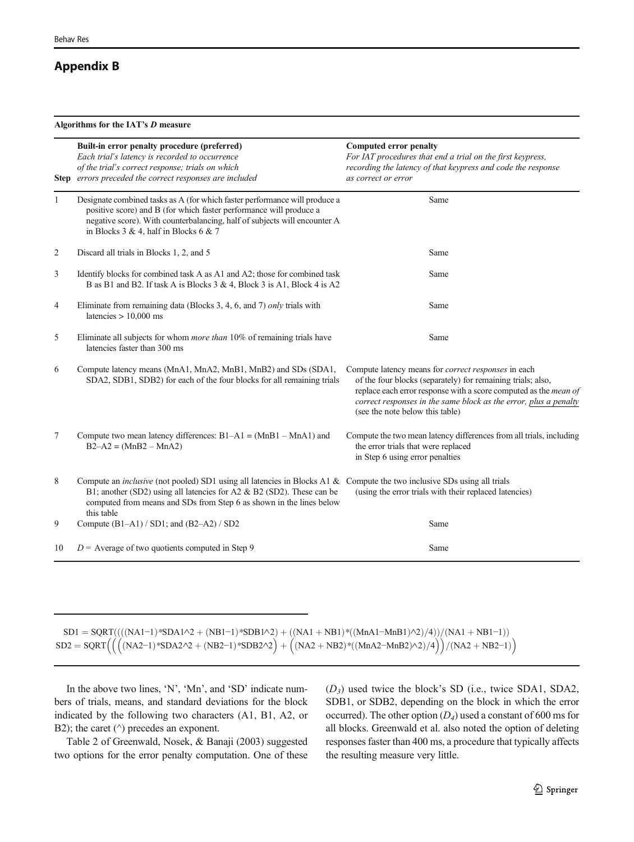### <span id="page-16-0"></span>Appendix B

Algorithms for the IAT's D measure

|                | Built-in error penalty procedure (preferred)<br>Each trial's latency is recorded to occurrence<br>of the trial's correct response; trials on which<br>Step errors preceded the correct responses are included                                                                                | <b>Computed error penalty</b><br>For IAT procedures that end a trial on the first keypress,<br>recording the latency of that keypress and code the response<br>as correct or error                                                                                                                   |
|----------------|----------------------------------------------------------------------------------------------------------------------------------------------------------------------------------------------------------------------------------------------------------------------------------------------|------------------------------------------------------------------------------------------------------------------------------------------------------------------------------------------------------------------------------------------------------------------------------------------------------|
| $\mathbf{1}$   | Designate combined tasks as A (for which faster performance will produce a<br>positive score) and B (for which faster performance will produce a<br>negative score). With counterbalancing, half of subjects will encounter A<br>in Blocks 3 & 4, half in Blocks 6 & 7                       | Same                                                                                                                                                                                                                                                                                                 |
| 2              | Discard all trials in Blocks 1, 2, and 5                                                                                                                                                                                                                                                     | Same                                                                                                                                                                                                                                                                                                 |
| 3              | Identify blocks for combined task A as A1 and A2; those for combined task<br>B as B1 and B2. If task A is Blocks 3 & 4, Block 3 is A1, Block 4 is A2                                                                                                                                         | Same                                                                                                                                                                                                                                                                                                 |
| 4              | Eliminate from remaining data (Blocks 3, 4, 6, and 7) only trials with<br>latencies $> 10,000$ ms                                                                                                                                                                                            | Same                                                                                                                                                                                                                                                                                                 |
| 5              | Eliminate all subjects for whom <i>more than</i> 10% of remaining trials have<br>latencies faster than 300 ms                                                                                                                                                                                | Same                                                                                                                                                                                                                                                                                                 |
| 6              | Compute latency means (MnA1, MnA2, MnB1, MnB2) and SDs (SDA1,<br>SDA2, SDB1, SDB2) for each of the four blocks for all remaining trials                                                                                                                                                      | Compute latency means for <i>correct responses</i> in each<br>of the four blocks (separately) for remaining trials; also,<br>replace each error response with a score computed as the mean of<br>correct responses in the same block as the error, plus a penalty<br>(see the note below this table) |
| $\overline{7}$ | Compute two mean latency differences: $B1-A1 = (MnB1 - MnA1)$ and<br>$B2 - A2 = (MnB2 - MnA2)$                                                                                                                                                                                               | Compute the two mean latency differences from all trials, including<br>the error trials that were replaced<br>in Step 6 using error penalties                                                                                                                                                        |
| $\,8\,$        | Compute an <i>inclusive</i> (not pooled) SD1 using all latencies in Blocks A1 & Compute the two inclusive SDs using all trials<br>B1; another (SD2) using all latencies for A2 & B2 (SD2). These can be<br>computed from means and SDs from Step 6 as shown in the lines below<br>this table | (using the error trials with their replaced latencies)                                                                                                                                                                                                                                               |
| 9              | Compute $(B1-A1) / SD1$ ; and $(B2-A2) / SD2$                                                                                                                                                                                                                                                | Same                                                                                                                                                                                                                                                                                                 |
| 10             | $D =$ Average of two quotients computed in Step 9                                                                                                                                                                                                                                            | Same                                                                                                                                                                                                                                                                                                 |

 $SD1 = SQRT(((NA1-1) * SDA1 \cdot 2 + (NB1-1) * SDB1 \cdot 2) + ((NA1 + NB1) * ((MnA1 - MnB1) \cdot 2) / 4)) / (NA1 + NB1-1))$  $SD2 = SQRT((NA2-1)*SDA2^{2} + (NB2-1)*SDB2^{2}) + ((NA2 + NB2)*((MnA2-MnB2)^{2})/(NA2 + NB2-1))$ 

In the above two lines, 'N', 'Mn', and 'SD' indicate numbers of trials, means, and standard deviations for the block indicated by the following two characters (A1, B1, A2, or B2); the caret ( $\land$ ) precedes an exponent.

Table 2 of Greenwald, Nosek, & Banaji (2003) suggested two options for the error penalty computation. One of these  $(D_3)$  used twice the block's SD (i.e., twice SDA1, SDA2, SDB1, or SDB2, depending on the block in which the error occurred). The other option  $(D_4)$  used a constant of 600 ms for all blocks. Greenwald et al. also noted the option of deleting responses faster than 400 ms, a procedure that typically affects the resulting measure very little.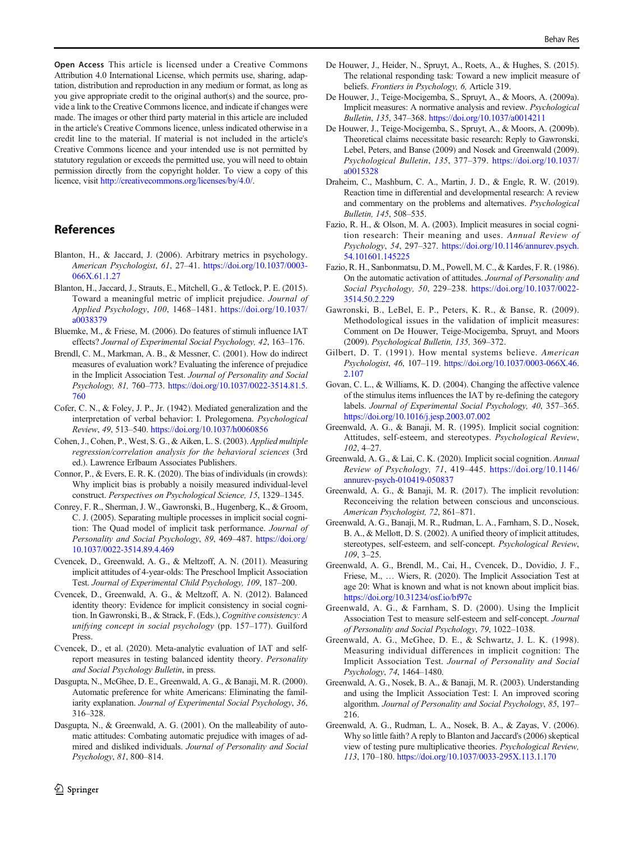<span id="page-17-0"></span>permission directly from the copyright holder. To view a copy of this licence, visit <http://creativecommons.org/licenses/by/4.0/>.

# References

- Blanton, H., & Jaccard, J. (2006). Arbitrary metrics in psychology. American Psychologist, 61, 27–41. [https://doi.org/10.1037/0003-](https://doi.org/10.1037/0003-066X.61.1.27) [066X.61.1.27](https://doi.org/10.1037/0003-066X.61.1.27)
- Blanton, H., Jaccard, J., Strauts, E., Mitchell, G., & Tetlock, P. E. (2015). Toward a meaningful metric of implicit prejudice. Journal of Applied Psychology, 100, 1468–1481. [https://doi.org/10.1037/](https://doi.org/10.1037/a0038379) [a0038379](https://doi.org/10.1037/a0038379)
- Bluemke, M., & Friese, M. (2006). Do features of stimuli influence IAT effects? Journal of Experimental Social Psychology, 42, 163–176.
- Brendl, C. M., Markman, A. B., & Messner, C. (2001). How do indirect measures of evaluation work? Evaluating the inference of prejudice in the Implicit Association Test. Journal of Personality and Social Psychology, 81, 760–773. [https://doi.org/10.1037/0022-3514.81.5.](https://doi.org/10.1037/0022-3514.81.5.760) [760](https://doi.org/10.1037/0022-3514.81.5.760)
- Cofer, C. N., & Foley, J. P., Jr. (1942). Mediated generalization and the interpretation of verbal behavior: I. Prolegomena. Psychological Review, 49, 513–540. <https://doi.org/10.1037/h0060856>
- Cohen, J., Cohen, P., West, S. G., & Aiken, L. S. (2003). Applied multiple regression/correlation analysis for the behavioral sciences (3rd ed.). Lawrence Erlbaum Associates Publishers.
- Connor, P., & Evers, E. R. K. (2020). The bias of individuals (in crowds): Why implicit bias is probably a noisily measured individual-level construct. Perspectives on Psychological Science, 15, 1329–1345.
- Conrey, F. R., Sherman, J. W., Gawronski, B., Hugenberg, K., & Groom, C. J. (2005). Separating multiple processes in implicit social cognition: The Quad model of implicit task performance. Journal of Personality and Social Psychology, 89, 469–487. [https://doi.org/](https://doi.org/10.1037/002289.4.469) [10.1037/0022-3514.89.4.469](https://doi.org/10.1037/002289.4.469)
- Cvencek, D., Greenwald, A. G., & Meltzoff, A. N. (2011). Measuring implicit attitudes of 4-year-olds: The Preschool Implicit Association Test. Journal of Experimental Child Psychology, 109, 187–200.
- Cvencek, D., Greenwald, A. G., & Meltzoff, A. N. (2012). Balanced identity theory: Evidence for implicit consistency in social cognition. In Gawronski, B., & Strack, F. (Eds.), Cognitive consistency: A unifying concept in social psychology (pp. 157–177). Guilford Press.
- Cvencek, D., et al. (2020). Meta-analytic evaluation of IAT and selfreport measures in testing balanced identity theory. Personality and Social Psychology Bulletin, in press.
- Dasgupta, N., McGhee, D. E., Greenwald, A. G., & Banaji, M. R. (2000). Automatic preference for white Americans: Eliminating the familiarity explanation. Journal of Experimental Social Psychology, 36, 316–328.
- Dasgupta, N., & Greenwald, A. G. (2001). On the malleability of automatic attitudes: Combating automatic prejudice with images of admired and disliked individuals. Journal of Personality and Social Psychology, 81, 800–814.
- De Houwer, J., Heider, N., Spruyt, A., Roets, A., & Hughes, S. (2015). The relational responding task: Toward a new implicit measure of beliefs. Frontiers in Psychology, 6, Article 319.
- De Houwer, J., Teige-Mocigemba, S., Spruyt, A., & Moors, A. (2009a). Implicit measures: A normative analysis and review. Psychological Bulletin, 135, 347–368. <https://doi.org/10.1037/a0014211>
- De Houwer, J., Teige-Mocigemba, S., Spruyt, A., & Moors, A. (2009b). Theoretical claims necessitate basic research: Reply to Gawronski, Lebel, Peters, and Banse (2009) and Nosek and Greenwald (2009). Psychological Bulletin, 135, 377–379. [https://doi.org/10.1037/](https://doi.org/10.1037/a0015328) [a0015328](https://doi.org/10.1037/a0015328)
- Draheim, C., Mashburn, C. A., Martin, J. D., & Engle, R. W. (2019). Reaction time in differential and developmental research: A review and commentary on the problems and alternatives. Psychological Bulletin, 145, 508–535.
- Fazio, R. H., & Olson, M. A. (2003). Implicit measures in social cognition research: Their meaning and uses. Annual Review of Psychology, 54, 297–327. [https://doi.org/10.1146/annurev.psych.](https://doi.org/10.1146/annurev.psych.54.101601.145225) [54.101601.145225](https://doi.org/10.1146/annurev.psych.54.101601.145225)
- Fazio, R. H., Sanbonmatsu, D. M., Powell, M. C., & Kardes, F. R. (1986). On the automatic activation of attitudes. Journal of Personality and Social Psychology, 50, 229–238. [https://doi.org/10.1037/0022-](https://doi.org/10.1037/0022-3514.50.2.229) [3514.50.2.229](https://doi.org/10.1037/0022-3514.50.2.229)
- Gawronski, B., LeBel, E. P., Peters, K. R., & Banse, R. (2009). Methodological issues in the validation of implicit measures: Comment on De Houwer, Teige-Mocigemba, Spruyt, and Moors (2009). Psychological Bulletin, 135, 369–372.
- Gilbert, D. T. (1991). How mental systems believe. American Psychologist, 46, 107–119. [https://doi.org/10.1037/0003-066X.46.](https://doi.org/10.1037/0003-066X.46.2.107) [2.107](https://doi.org/10.1037/0003-066X.46.2.107)
- Govan, C. L., & Williams, K. D. (2004). Changing the affective valence of the stimulus items influences the IAT by re-defining the category labels. Journal of Experimental Social Psychology, 40, 357–365. <https://doi.org/10.1016/j.jesp.2003.07.002>
- Greenwald, A. G., & Banaji, M. R. (1995). Implicit social cognition: Attitudes, self-esteem, and stereotypes. Psychological Review, 102, 4–27.
- Greenwald, A. G., & Lai, C. K. (2020). Implicit social cognition. Annual Review of Psychology, 71, 419–445. [https://doi.org/10.1146/](https://doi.org/10.1146/annurev-psych-010419-050837) [annurev-psych-010419-050837](https://doi.org/10.1146/annurev-psych-010419-050837)
- Greenwald, A. G., & Banaji, M. R. (2017). The implicit revolution: Reconceiving the relation between conscious and unconscious. American Psychologist, 72, 861–871.
- Greenwald, A. G., Banaji, M. R., Rudman, L. A., Farnham, S. D., Nosek, B. A., & Mellott, D. S. (2002). A unified theory of implicit attitudes, stereotypes, self-esteem, and self-concept. Psychological Review, 109, 3–25.
- Greenwald, A. G., Brendl, M., Cai, H., Cvencek, D., Dovidio, J. F., Friese, M., … Wiers, R. (2020). The Implicit Association Test at age 20: What is known and what is not known about implicit bias. <https://doi.org/10.31234/osf.io/bf97c>
- Greenwald, A. G., & Farnham, S. D. (2000). Using the Implicit Association Test to measure self-esteem and self-concept. Journal of Personality and Social Psychology, 79, 1022–1038.
- Greenwald, A. G., McGhee, D. E., & Schwartz, J. L. K. (1998). Measuring individual differences in implicit cognition: The Implicit Association Test. Journal of Personality and Social Psychology, 74, 1464–1480.
- Greenwald, A. G., Nosek, B. A., & Banaji, M. R. (2003). Understanding and using the Implicit Association Test: I. An improved scoring algorithm. Journal of Personality and Social Psychology, 85, 197– 216.
- Greenwald, A. G., Rudman, L. A., Nosek, B. A., & Zayas, V. (2006). Why so little faith? A reply to Blanton and Jaccard's (2006) skeptical view of testing pure multiplicative theories. Psychological Review, 113, 170–180. <https://doi.org/10.1037/0033-295X.113.1.170>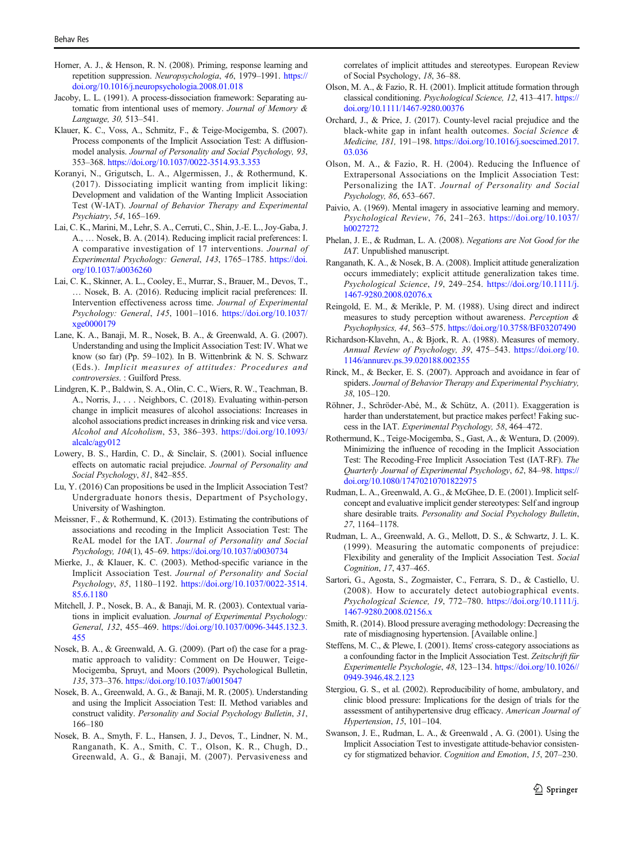- <span id="page-18-0"></span>Horner, A. J., & Henson, R. N. (2008). Priming, response learning and repetition suppression. Neuropsychologia, 46, 1979–1991. [https://](https://doi.org/10.1016/j.neuropsychologia.2008.01.018) [doi.org/10.1016/j.neuropsychologia.2008.01.018](https://doi.org/10.1016/j.neuropsychologia.2008.01.018)
- Jacoby, L. L. (1991). A process-dissociation framework: Separating automatic from intentional uses of memory. Journal of Memory & Language, 30, 513–541.
- Klauer, K. C., Voss, A., Schmitz, F., & Teige-Mocigemba, S. (2007). Process components of the Implicit Association Test: A diffusionmodel analysis. Journal of Personality and Social Psychology, 93, 353–368. <https://doi.org/10.1037/0022-3514.93.3.353>
- Koranyi, N., Grigutsch, L. A., Algermissen, J., & Rothermund, K. (2017). Dissociating implicit wanting from implicit liking: Development and validation of the Wanting Implicit Association Test (W-IAT). Journal of Behavior Therapy and Experimental Psychiatry, 54, 165–169.
- Lai, C. K., Marini, M., Lehr, S. A., Cerruti, C., Shin, J.-E. L., Joy-Gaba, J. A., … Nosek, B. A. (2014). Reducing implicit racial preferences: I. A comparative investigation of 17 interventions. Journal of Experimental Psychology: General, 143, 1765–1785. [https://doi.](https://doi.org/10.1037/a0036260) [org/10.1037/a0036260](https://doi.org/10.1037/a0036260)
- Lai, C. K., Skinner, A. L., Cooley, E., Murrar, S., Brauer, M., Devos, T., … Nosek, B. A. (2016). Reducing implicit racial preferences: II. Intervention effectiveness across time. Journal of Experimental Psychology: General, 145, 1001–1016. [https://doi.org/10.1037/](https://doi.org/10.1037/xge0000179) [xge0000179](https://doi.org/10.1037/xge0000179)
- Lane, K. A., Banaji, M. R., Nosek, B. A., & Greenwald, A. G. (2007). Understanding and using the Implicit Association Test: IV. What we know (so far) (Pp. 59–102). In B. Wittenbrink & N. S. Schwarz (Eds.). Implicit measures of attitudes: Procedures and controversies. : Guilford Press.
- Lindgren, K. P., Baldwin, S. A., Olin, C. C., Wiers, R. W., Teachman, B. A., Norris, J., . . . Neighbors, C. (2018). Evaluating within-person change in implicit measures of alcohol associations: Increases in alcohol associations predict increases in drinking risk and vice versa. Alcohol and Alcoholism, 53, 386–393. [https://doi.org/10.1093/](https://doi.org/10.1093/alcalc/agy012) [alcalc/agy012](https://doi.org/10.1093/alcalc/agy012)
- Lowery, B. S., Hardin, C. D., & Sinclair, S. (2001). Social influence effects on automatic racial prejudice. Journal of Personality and Social Psychology, 81, 842–855.
- Lu, Y. (2016) Can propositions be used in the Implicit Association Test? Undergraduate honors thesis, Department of Psychology, University of Washington.
- Meissner, F., & Rothermund, K. (2013). Estimating the contributions of associations and recoding in the Implicit Association Test: The ReAL model for the IAT. Journal of Personality and Social Psychology, 104(1), 45–69. <https://doi.org/10.1037/a0030734>
- Mierke, J., & Klauer, K. C. (2003). Method-specific variance in the Implicit Association Test. Journal of Personality and Social Psychology, 85, 1180–1192. [https://doi.org/10.1037/0022-3514.](https://doi.org/10.1037/0022-3514.85.6.1180) [85.6.1180](https://doi.org/10.1037/0022-3514.85.6.1180)
- Mitchell, J. P., Nosek, B. A., & Banaji, M. R. (2003). Contextual variations in implicit evaluation. Journal of Experimental Psychology: General, 132, 455–469. [https://doi.org/10.1037/0096-3445.132.3.](https://doi.org/10.1037/0096-3445.132.3.455) [455](https://doi.org/10.1037/0096-3445.132.3.455)
- Nosek, B. A., & Greenwald, A. G. (2009). (Part of) the case for a pragmatic approach to validity: Comment on De Houwer, Teige-Mocigemba, Spruyt, and Moors (2009). Psychological Bulletin, 135, 373–376. <https://doi.org/10.1037/a0015047>
- Nosek, B. A., Greenwald, A. G., & Banaji, M. R. (2005). Understanding and using the Implicit Association Test: II. Method variables and construct validity. Personality and Social Psychology Bulletin, 31, 166–180
- Nosek, B. A., Smyth, F. L., Hansen, J. J., Devos, T., Lindner, N. M., Ranganath, K. A., Smith, C. T., Olson, K. R., Chugh, D., Greenwald, A. G., & Banaji, M. (2007). Pervasiveness and

correlates of implicit attitudes and stereotypes. European Review of Social Psychology, 18, 36–88.

- Olson, M. A., & Fazio, R. H. (2001). Implicit attitude formation through classical conditioning. Psychological Science, 12, 413–417. [https://](https://doi.org/10.1111/1467-9280.00376) [doi.org/10.1111/1467-9280.00376](https://doi.org/10.1111/1467-9280.00376)
- Orchard, J., & Price, J. (2017). County-level racial prejudice and the black-white gap in infant health outcomes. Social Science & Medicine, 181, 191–198. [https://doi.org/10.1016/j.socscimed.2017.](https://doi.org/10.1016/j.socscimed.2017.03.036) [03.036](https://doi.org/10.1016/j.socscimed.2017.03.036)
- Olson, M. A., & Fazio, R. H. (2004). Reducing the Influence of Extrapersonal Associations on the Implicit Association Test: Personalizing the IAT. Journal of Personality and Social Psychology, 86, 653–667.
- Paivio, A. (1969). Mental imagery in associative learning and memory. Psychological Review, 76, 241–263. [https://doi.org/10.1037/](https://doi.org/10.1037/h0027272) [h0027272](https://doi.org/10.1037/h0027272)
- Phelan, J. E., & Rudman, L. A. (2008). Negations are Not Good for the IAT. Unpublished manuscript.
- Ranganath, K. A., & Nosek, B. A. (2008). Implicit attitude generalization occurs immediately; explicit attitude generalization takes time. Psychological Science, 19, 249–254. [https://doi.org/10.1111/j.](https://doi.org/10.1111/j.1467-9280.2008.02076.x) [1467-9280.2008.02076.x](https://doi.org/10.1111/j.1467-9280.2008.02076.x)
- Reingold, E. M., & Merikle, P. M. (1988). Using direct and indirect measures to study perception without awareness. Perception & Psychophysics, 44, 563–575. <https://doi.org/10.3758/BF03207490>
- Richardson-Klavehn, A., & Bjork, R. A. (1988). Measures of memory. Annual Review of Psychology, 39, 475–543. [https://doi.org/10.](https://doi.org/10.1146/annurev.ps.39.020188.002355) [1146/annurev.ps.39.020188.002355](https://doi.org/10.1146/annurev.ps.39.020188.002355)
- Rinck, M., & Becker, E. S. (2007). Approach and avoidance in fear of spiders. Journal of Behavior Therapy and Experimental Psychiatry, 38, 105–120.
- Röhner, J., Schröder-Abé, M., & Schütz, A. (2011). Exaggeration is harder than understatement, but practice makes perfect! Faking success in the IAT. Experimental Psychology, 58, 464–472.
- Rothermund, K., Teige-Mocigemba, S., Gast, A., & Wentura, D. (2009). Minimizing the influence of recoding in the Implicit Association Test: The Recoding-Free Implicit Association Test (IAT-RF). The Quarterly Journal of Experimental Psychology, 62, 84–98. [https://](https://doi.org/10.1080/17470210701822975) [doi.org/10.1080/17470210701822975](https://doi.org/10.1080/17470210701822975)
- Rudman, L. A., Greenwald, A. G., & McGhee, D. E. (2001). Implicit selfconcept and evaluative implicit gender stereotypes: Self and ingroup share desirable traits. Personality and Social Psychology Bulletin, 27, 1164–1178.
- Rudman, L. A., Greenwald, A. G., Mellott, D. S., & Schwartz, J. L. K. (1999). Measuring the automatic components of prejudice: Flexibility and generality of the Implicit Association Test. Social Cognition, 17, 437–465.
- Sartori, G., Agosta, S., Zogmaister, C., Ferrara, S. D., & Castiello, U. (2008). How to accurately detect autobiographical events. Psychological Science, 19, 772–780. [https://doi.org/10.1111/j.](https://doi.org/10.1111/j.1467-9280.2008.02156.x) [1467-9280.2008.02156.x](https://doi.org/10.1111/j.1467-9280.2008.02156.x)
- Smith, R. (2014). Blood pressure averaging methodology: Decreasing the rate of misdiagnosing hypertension. [Available online.]
- Steffens, M. C., & Plewe, I. (2001). Items' cross-category associations as a confounding factor in the Implicit Association Test. Zeitschrift für Experimentelle Psychologie, 48, 123–134. [https://doi.org/10.1026//](https://doi.org/10.1026//0949-3946.48.2.123) [0949-3946.48.2.123](https://doi.org/10.1026//0949-3946.48.2.123)
- Stergiou, G. S., et al. (2002). Reproducibility of home, ambulatory, and clinic blood pressure: Implications for the design of trials for the assessment of antihypertensive drug efficacy. American Journal of Hypertension, 15, 101–104.
- Swanson, J. E., Rudman, L. A., & Greenwald , A. G. (2001). Using the Implicit Association Test to investigate attitude-behavior consistency for stigmatized behavior. Cognition and Emotion, 15, 207–230.